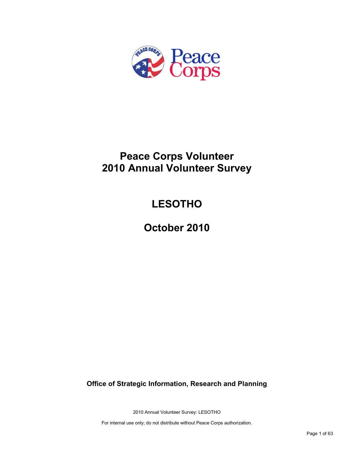

# **Peace Corps Volunteer 2010 Annual Volunteer Survey**

# **LESOTHO**

**October 2010**

**Office of Strategic Information, Research and Planning**

2010 Annual Volunteer Survey: LESOTHO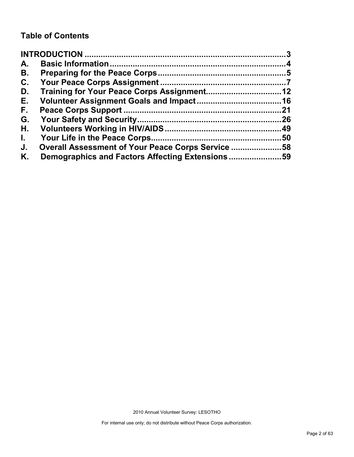# **Table of Contents**

| A.           |                                                   |     |
|--------------|---------------------------------------------------|-----|
| В.           |                                                   |     |
| C.           |                                                   |     |
| D.           |                                                   |     |
| Е.           |                                                   |     |
| F.           |                                                   | .21 |
| G.           |                                                   |     |
| Η.           |                                                   |     |
| $\mathbf{L}$ |                                                   | .50 |
| J.           | Overall Assessment of Your Peace Corps Service 58 |     |
| Κ.           | Demographics and Factors Affecting Extensions59   |     |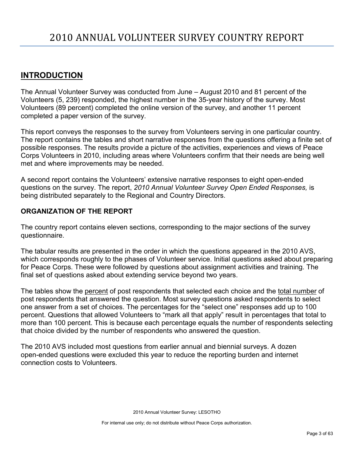# <span id="page-2-0"></span>**INTRODUCTION**

The Annual Volunteer Survey was conducted from June – August 2010 and 81 percent of the Volunteers (5, 239) responded, the highest number in the 35-year history of the survey. Most Volunteers (89 percent) completed the online version of the survey, and another 11 percent completed a paper version of the survey.

This report conveys the responses to the survey from Volunteers serving in one particular country. The report contains the tables and short narrative responses from the questions offering a finite set of possible responses. The results provide a picture of the activities, experiences and views of Peace Corps Volunteers in 2010, including areas where Volunteers confirm that their needs are being well met and where improvements may be needed.

A second report contains the Volunteers' extensive narrative responses to eight open-ended questions on the survey. The report, *2010 Annual Volunteer Survey Open Ended Responses,* is being distributed separately to the Regional and Country Directors.

# **ORGANIZATION OF THE REPORT**

The country report contains eleven sections, corresponding to the major sections of the survey questionnaire.

The tabular results are presented in the order in which the questions appeared in the 2010 AVS, which corresponds roughly to the phases of Volunteer service. Initial questions asked about preparing for Peace Corps. These were followed by questions about assignment activities and training. The final set of questions asked about extending service beyond two years.

The tables show the percent of post respondents that selected each choice and the total number of post respondents that answered the question. Most survey questions asked respondents to select one answer from a set of choices. The percentages for the "select one" responses add up to 100 percent. Questions that allowed Volunteers to "mark all that apply" result in percentages that total to more than 100 percent. This is because each percentage equals the number of respondents selecting that choice divided by the number of respondents who answered the question.

The 2010 AVS included most questions from earlier annual and biennial surveys. A dozen open-ended questions were excluded this year to reduce the reporting burden and internet connection costs to Volunteers.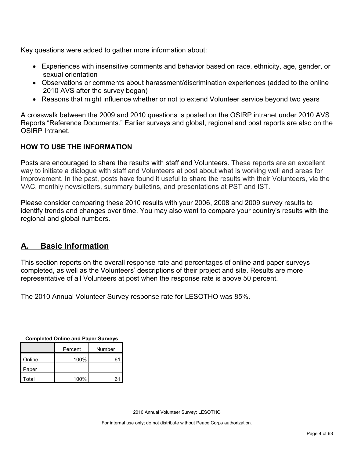Key questions were added to gather more information about:

- Experiences with insensitive comments and behavior based on race, ethnicity, age, gender, or sexual orientation
- Observations or comments about harassment/discrimination experiences (added to the online 2010 AVS after the survey began)
- Reasons that might influence whether or not to extend Volunteer service beyond two years

A crosswalk between the 2009 and 2010 questions is posted on the OSIRP intranet under 2010 AVS Reports "Reference Documents." Earlier surveys and global, regional and post reports are also on the OSIRP Intranet.

# **HOW TO USE THE INFORMATION**

Posts are encouraged to share the results with staff and Volunteers. These reports are an excellent way to initiate a dialogue with staff and Volunteers at post about what is working well and areas for improvement. In the past, posts have found it useful to share the results with their Volunteers, via the VAC, monthly newsletters, summary bulletins, and presentations at PST and IST.

Please consider comparing these 2010 results with your 2006, 2008 and 2009 survey results to identify trends and changes over time. You may also want to compare your country's results with the regional and global numbers.

# <span id="page-3-0"></span>**A. Basic Information**

This section reports on the overall response rate and percentages of online and paper surveys completed, as well as the Volunteers' descriptions of their project and site. Results are more representative of all Volunteers at post when the response rate is above 50 percent.

The 2010 Annual Volunteer Survey response rate for LESOTHO was 85%.

| Completed Online and Paper Surveys |         |        |  |  |
|------------------------------------|---------|--------|--|--|
|                                    | Percent | Number |  |  |
| Online                             | 100%    | 61     |  |  |
| Paper                              |         |        |  |  |
| Total                              | 100%    | 61     |  |  |

**Completed Online and Paper Surveys**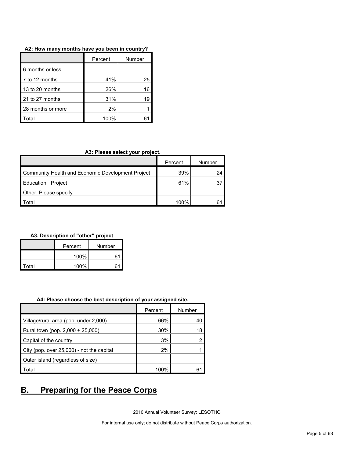|                   | Percent | Number |
|-------------------|---------|--------|
| 6 months or less  |         |        |
| 7 to 12 months    | 41%     | 25     |
| 13 to 20 months   | 26%     | 16     |
| 21 to 27 months   | 31%     | 19     |
| 28 months or more | 2%      |        |
| otal              | 100%    |        |

## **A3: Please select your project.**

|                                                   | Percent | Number |
|---------------------------------------------------|---------|--------|
| Community Health and Economic Development Project | 39%     | 24     |
| Education Project                                 | 61%     | 37     |
| Other. Please specify                             |         |        |
| Total                                             | 100%    | o.     |

# **A3. Description of "other" project**

|       | Percent     | Number |  |
|-------|-------------|--------|--|
|       | 100%<br>. 6 |        |  |
| Total | 100%        | 6٬     |  |

#### **A4: Please choose the best description of your assigned site.**

|                                           | Percent | Number |
|-------------------------------------------|---------|--------|
| Village/rural area (pop. under 2,000)     | 66%     | 40     |
| Rural town (pop. 2,000 + 25,000)          | 30%     | 18     |
| Capital of the country                    | 3%      |        |
| City (pop. over 25,000) - not the capital | 2%      |        |
| Outer island (regardless of size)         |         |        |
| Total                                     | 100%    | 61     |

# <span id="page-4-0"></span>**B. Preparing for the Peace Corps**

2010 Annual Volunteer Survey: LESOTHO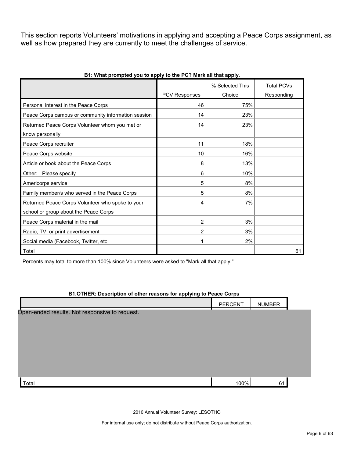This section reports Volunteers' motivations in applying and accepting a Peace Corps assignment, as well as how prepared they are currently to meet the challenges of service.

|                                                     |                      | % Selected This | <b>Total PCVs</b> |
|-----------------------------------------------------|----------------------|-----------------|-------------------|
|                                                     | <b>PCV Responses</b> | Choice          | Responding        |
| Personal interest in the Peace Corps                | 46                   | 75%             |                   |
| Peace Corps campus or community information session | 14                   | 23%             |                   |
| Returned Peace Corps Volunteer whom you met or      | 14                   | 23%             |                   |
| know personally                                     |                      |                 |                   |
| Peace Corps recruiter                               | 11                   | 18%             |                   |
| Peace Corps website                                 | 10                   | 16%             |                   |
| Article or book about the Peace Corps               | 8                    | 13%             |                   |
| Other: Please specify                               | 6                    | 10%             |                   |
| Americorps service                                  | 5                    | 8%              |                   |
| Family member/s who served in the Peace Corps       | 5                    | 8%              |                   |
| Returned Peace Corps Volunteer who spoke to your    | 4                    | 7%              |                   |
| school or group about the Peace Corps               |                      |                 |                   |
| Peace Corps material in the mail                    | 2                    | 3%              |                   |
| Radio, TV, or print advertisement                   | 2                    | 3%              |                   |
| Social media (Facebook, Twitter, etc.               |                      | 2%              |                   |
| Total                                               |                      |                 | 61                |

## **B1: What prompted you to apply to the PC? Mark all that apply.**

Percents may total to more than 100% since Volunteers were asked to "Mark all that apply."

# **B1.OTHER: Description of other reasons for applying to Peace Corps**

|                                                | PERCENT | <b>NUMBER</b> |  |
|------------------------------------------------|---------|---------------|--|
| Open-ended results. Not responsive to request. |         |               |  |
|                                                |         |               |  |
|                                                |         |               |  |
|                                                |         |               |  |
|                                                |         |               |  |
|                                                |         |               |  |
| Total                                          | 100%    | 61            |  |

2010 Annual Volunteer Survey: LESOTHO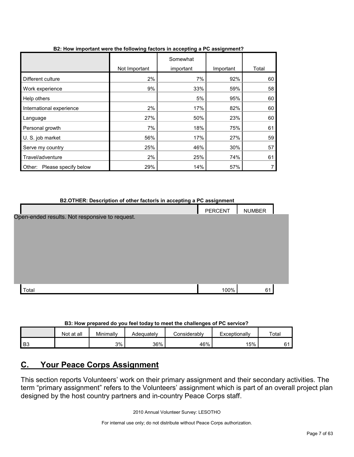|                                |               | Somewhat  |           |       |
|--------------------------------|---------------|-----------|-----------|-------|
|                                | Not Important | important | Important | Total |
| Different culture              | 2%            | 7%        | 92%       | 60    |
| Work experience                | 9%            | 33%       | 59%       | 58    |
| Help others                    |               | 5%        | 95%       | 60    |
| International experience       | 2%            | 17%       | 82%       | 60    |
| Language                       | 27%           | 50%       | 23%       | 60    |
| Personal growth                | 7%            | 18%       | 75%       | 61    |
| U. S. job market               | 56%           | 17%       | 27%       | 59    |
| Serve my country               | 25%           | 46%       | 30%       | 57    |
| Travel/adventure               | 2%            | 25%       | 74%       | 61    |
| Please specify below<br>Other: | 29%           | 14%       | 57%       | 7     |

# **B2: How important were the following factors in accepting a PC assignment?**

| B2.OTHER: Description of other factor/s in accepting a PC assignment |                |               |  |  |
|----------------------------------------------------------------------|----------------|---------------|--|--|
|                                                                      | <b>PERCENT</b> | <b>NUMBER</b> |  |  |
| Open-ended results. Not responsive to request.                       |                |               |  |  |
|                                                                      |                |               |  |  |
|                                                                      |                |               |  |  |
|                                                                      |                |               |  |  |
|                                                                      |                |               |  |  |
|                                                                      |                |               |  |  |
|                                                                      |                |               |  |  |
|                                                                      |                |               |  |  |
| Total                                                                | 100%           | 61            |  |  |

**B3: How prepared do you feel today to meet the challenges of PC service?**

|      | Not at all | Minimally | Adeauatelv | :onsiderablv | Exceptionally | Total |
|------|------------|-----------|------------|--------------|---------------|-------|
| l B3 |            | 3%        | 36%        | 46%          | 15%           | c.    |

# <span id="page-6-0"></span>**C. Your Peace Corps Assignment**

This section reports Volunteers' work on their primary assignment and their secondary activities. The term "primary assignment" refers to the Volunteers' assignment which is part of an overall project plan designed by the host country partners and in-country Peace Corps staff.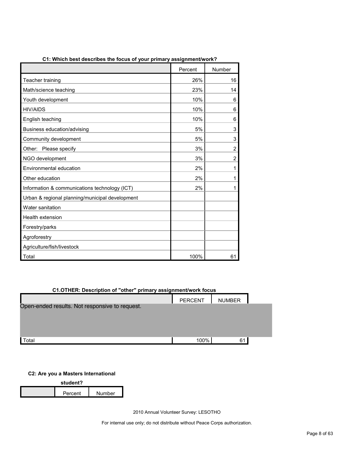|                                                 | Percent | Number         |
|-------------------------------------------------|---------|----------------|
| Teacher training                                | 26%     | 16             |
| Math/science teaching                           | 23%     | 14             |
| Youth development                               | 10%     | 6              |
| <b>HIV/AIDS</b>                                 | 10%     | 6              |
| English teaching                                | 10%     | 6              |
| Business education/advising                     | 5%      | 3              |
| Community development                           | 5%      | 3              |
| Other: Please specify                           | 3%      | $\overline{c}$ |
| NGO development                                 | 3%      | 2              |
| Environmental education                         | 2%      | 1              |
| Other education                                 | 2%      | 1              |
| Information & communications technology (ICT)   | 2%      | 1              |
| Urban & regional planning/municipal development |         |                |
| Water sanitation                                |         |                |
| Health extension                                |         |                |
| Forestry/parks                                  |         |                |
| Agroforestry                                    |         |                |
| Agriculture/fish/livestock                      |         |                |
| Total                                           | 100%    | 61             |

**C1: Which best describes the focus of your primary assignment/work?**

# **C1.OTHER: Description of "other" primary assignment/work focus**

|                                                | <b>PERCENT</b> | <b>NUMBER</b> |  |
|------------------------------------------------|----------------|---------------|--|
| Open-ended results. Not responsive to request. |                |               |  |
|                                                |                |               |  |
|                                                |                |               |  |
| Total                                          | 100%           | 61            |  |

# **C2: Are you a Masters International**

| student? |         |        |  |  |
|----------|---------|--------|--|--|
|          | Percent | Number |  |  |

2010 Annual Volunteer Survey: LESOTHO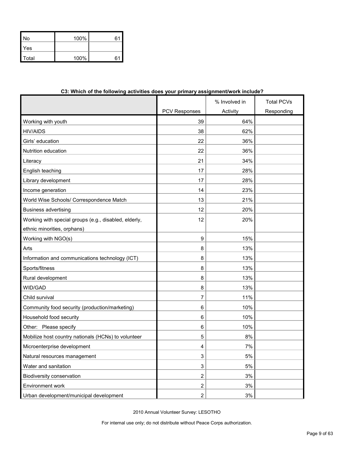| No           | 100% | 61 |
|--------------|------|----|
| Yes          |      |    |
| <b>Total</b> | 100% | հ′ |

| שיייטייט וטוער איט ויטו<br><b>ANDILIAN ANDI</b>       | yur printur y           | www.g         |                   |
|-------------------------------------------------------|-------------------------|---------------|-------------------|
|                                                       |                         | % Involved in | <b>Total PCVs</b> |
|                                                       | <b>PCV Responses</b>    | Activity      | Responding        |
| Working with youth                                    | 39                      | 64%           |                   |
| <b>HIV/AIDS</b>                                       | 38                      | 62%           |                   |
| Girls' education                                      | 22                      | 36%           |                   |
| Nutrition education                                   | 22                      | 36%           |                   |
| Literacy                                              | 21                      | 34%           |                   |
| English teaching                                      | 17                      | 28%           |                   |
| Library development                                   | 17                      | 28%           |                   |
| Income generation                                     | 14                      | 23%           |                   |
| World Wise Schools/ Correspondence Match              | 13                      | 21%           |                   |
| <b>Business advertising</b>                           | 12                      | 20%           |                   |
| Working with special groups (e.g., disabled, elderly, | 12                      | 20%           |                   |
| ethnic minorities, orphans)                           |                         |               |                   |
| Working with NGO(s)                                   | 9                       | 15%           |                   |
| Arts                                                  | 8                       | 13%           |                   |
| Information and communications technology (ICT)       | 8                       | 13%           |                   |
| Sports/fitness                                        | 8                       | 13%           |                   |
| Rural development                                     | 8                       | 13%           |                   |
| WID/GAD                                               | 8                       | 13%           |                   |
| Child survival                                        | 7                       | 11%           |                   |
| Community food security (production/marketing)        | 6                       | 10%           |                   |
| Household food security                               | 6                       | 10%           |                   |
| Other: Please specify                                 | 6                       | 10%           |                   |
| Mobilize host country nationals (HCNs) to volunteer   | 5                       | 8%            |                   |
| Microenterprise development                           | 4                       | 7%            |                   |
| Natural resources management                          | 3                       | 5%            |                   |
| Water and sanitation                                  | 3                       | 5%            |                   |
| Biodiversity conservation                             | 2                       | 3%            |                   |
| Environment work                                      | 2                       | $3%$          |                   |
| Urban development/municipal development               | $\overline{\mathbf{c}}$ | 3%            |                   |

# **C3: Which of the following activities does your primary assignment/work include?**

2010 Annual Volunteer Survey: LESOTHO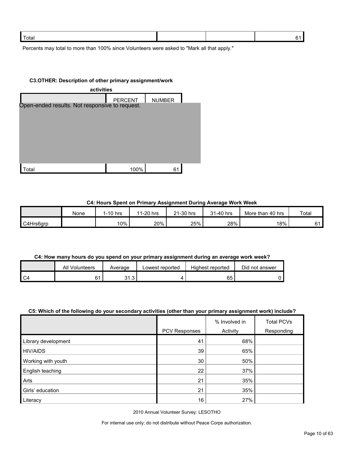| Total |  |  |
|-------|--|--|
|       |  |  |

Percents may total to more than 100% since Volunteers were asked to "Mark all that apply."

#### **C3.OTHER: Description of other primary assignment/work**

| activities                                     |                |               |  |  |
|------------------------------------------------|----------------|---------------|--|--|
|                                                | <b>PERCENT</b> | <b>NUMBER</b> |  |  |
| Open-ended results. Not responsive to request. |                |               |  |  |
|                                                |                |               |  |  |
|                                                |                |               |  |  |
|                                                |                |               |  |  |
|                                                |                |               |  |  |
|                                                |                |               |  |  |
| otal <sup>.</sup>                              | 100%           | 61            |  |  |

## **C4: Hours Spent on Primary Assignment During Average Work Week**

|           | None | $1-10$ hrs | 1-20 hrs<br>44 | 21-30 hrs | 31-40 hrs | More than 40 hrs | Total |
|-----------|------|------------|----------------|-----------|-----------|------------------|-------|
| C4Hrs6grp |      | 10%        | 20%            | 25%       | 28%       | 18%              | 61    |

# **C4: How many hours do you spend on your primary assignment during an average work week?**

| ail<br>Volunteers | Average                 | Lowest reported | Highest reported | Did not answer |
|-------------------|-------------------------|-----------------|------------------|----------------|
|                   | 0.4<br>$\sim$<br>ن. ا ب |                 | 65               |                |

# **C5: Which of the following do your secondary activities (other than your primary assignment work) include?**

|                     |               | % Involved in | <b>Total PCVs</b> |
|---------------------|---------------|---------------|-------------------|
|                     | PCV Responses | Activity      | Responding        |
| Library development | 41            | 68%           |                   |
| <b>HIV/AIDS</b>     | 39            | 65%           |                   |
| Working with youth  | 30            | 50%           |                   |
| English teaching    | 22            | 37%           |                   |
| Arts                | 21            | 35%           |                   |
| Girls' education    | 21            | 35%           |                   |
| Literacy            | 16            | 27%           |                   |

2010 Annual Volunteer Survey: LESOTHO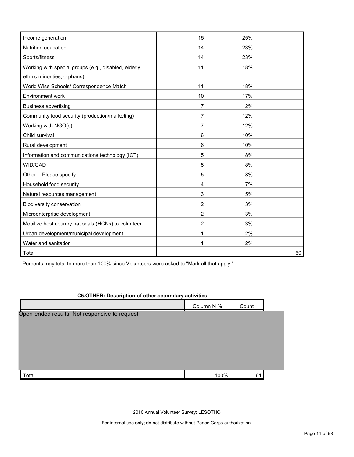| Income generation                                     | 15             | 25% |    |
|-------------------------------------------------------|----------------|-----|----|
| Nutrition education                                   | 14             | 23% |    |
| Sports/fitness                                        | 14             | 23% |    |
| Working with special groups (e.g., disabled, elderly, | 11             | 18% |    |
| ethnic minorities, orphans)                           |                |     |    |
| World Wise Schools/ Correspondence Match              | 11             | 18% |    |
| Environment work                                      | 10             | 17% |    |
| <b>Business advertising</b>                           | 7              | 12% |    |
| Community food security (production/marketing)        | 7              | 12% |    |
| Working with NGO(s)                                   | 7              | 12% |    |
| Child survival                                        | 6              | 10% |    |
| Rural development                                     | 6              | 10% |    |
| Information and communications technology (ICT)       | 5              | 8%  |    |
| WID/GAD                                               | 5              | 8%  |    |
| Other: Please specify                                 | 5              | 8%  |    |
| Household food security                               | 4              | 7%  |    |
| Natural resources management                          | 3              | 5%  |    |
| Biodiversity conservation                             | 2              | 3%  |    |
| Microenterprise development                           | $\overline{2}$ | 3%  |    |
| Mobilize host country nationals (HCNs) to volunteer   | 2              | 3%  |    |
| Urban development/municipal development               | 1              | 2%  |    |
| Water and sanitation                                  | 1              | 2%  |    |
| Total                                                 |                |     | 60 |

Percents may total to more than 100% since Volunteers were asked to "Mark all that apply."

# **C5.OTHER: Description of other secondary activities**

|                                                | Column N % | Count |  |
|------------------------------------------------|------------|-------|--|
| Open-ended results. Not responsive to request. |            |       |  |
|                                                |            |       |  |
|                                                |            |       |  |
| Total                                          | 100%       | 61    |  |

2010 Annual Volunteer Survey: LESOTHO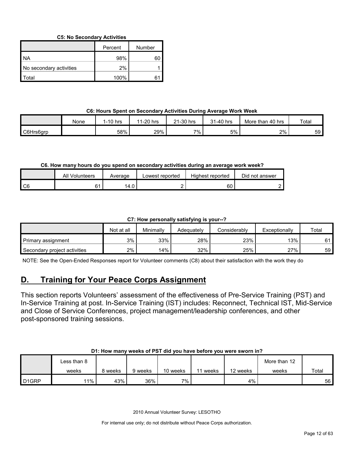# **C5: No Secondary Activities**

|                         | Percent | Number |
|-------------------------|---------|--------|
| I NA                    | 98%     |        |
| No secondary activities | 2%      |        |
| l Total                 | 100%    |        |

# **C6: Hours Spent on Secondary Activities During Average Work Week**

|           | None | 1-10 hrs | 1-20 hrs<br>44 | 21-30 hrs | 31-40 hrs | More than<br>. 40 hrs | Total |
|-----------|------|----------|----------------|-----------|-----------|-----------------------|-------|
| C6Hrs6grp |      | 58%      | 29%            | 7%.       | 5%        | 2%                    | 59    |

# **C6. How many hours do you spend on secondary activities during an average work week?**

|    | ΑIΙ<br>Volunteers | Average | Lowest reported | <b>Highest reported</b> | Did not answer |
|----|-------------------|---------|-----------------|-------------------------|----------------|
| C6 | 4 -               | 14.0    |                 | 60                      |                |

# **C7: How personally satisfying is your--?**

|                              | Not at all | Minimally | Adeauatelv | Considerablv | Exceptionally | Total |
|------------------------------|------------|-----------|------------|--------------|---------------|-------|
| Primary assignment           | 3%         | 33%       | 28%        | 23%          | 13%           | C 1   |
| Secondary project activities | 2%         | '4%       | 32%        | 25%          | 27%           | 59 I  |

NOTE: See the Open-Ended Responses report for Volunteer comments (C8) about their satisfaction with the work they do

# <span id="page-11-0"></span>**D. Training for Your Peace Corps Assignment**

This section reports Volunteers' assessment of the effectiveness of Pre-Service Training (PST) and In-Service Training at post. In-Service Training (IST) includes: Reconnect, Technical IST, Mid-Service and Close of Service Conferences, project management/leadership conferences, and other post-sponsored training sessions.

## **D1: How many weeks of PST did you have before you were sworn in?**

|                   | ∟ess than 8 |       |         |          |       |          | More than 12 |       |
|-------------------|-------------|-------|---------|----------|-------|----------|--------------|-------|
|                   | weeks       | weeks | 9 weeks | 10 weeks | weeks | 12 weeks | weeks        | Total |
| D <sub>1GRP</sub> | 11%         | 43%   | 36%     | ו 7% –   |       | 4%       |              | 56    |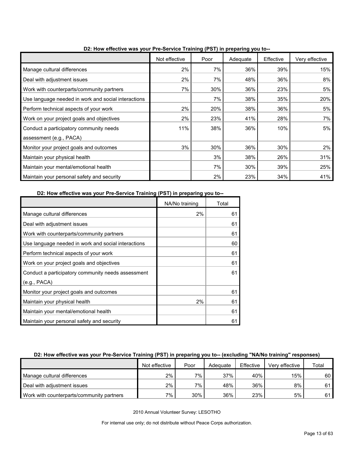|                                                     | Not effective | Poor | Adequate | Effective | Very effective |
|-----------------------------------------------------|---------------|------|----------|-----------|----------------|
| Manage cultural differences                         | 2%            | 7%   | 36%      | 39%       | 15%            |
| Deal with adjustment issues                         | 2%            | 7%   | 48%      | 36%       | 8%             |
| Work with counterparts/community partners           | 7%            | 30%  | 36%      | 23%       | 5%             |
| Use language needed in work and social interactions |               | 7%   | 38%      | 35%       | 20%            |
| Perform technical aspects of your work              | 2%            | 20%  | 38%      | 36%       | 5%             |
| Work on your project goals and objectives           | 2%            | 23%  | 41%      | 28%       | 7%             |
| Conduct a participatory community needs             | 11%           | 38%  | 36%      | 10%       | 5%             |
| assessment (e.g., PACA)                             |               |      |          |           |                |
| Monitor your project goals and outcomes             | 3%            | 30%  | 36%      | 30%       | $2\%$          |
| Maintain your physical health                       |               | 3%   | 38%      | 26%       | 31%            |
| Maintain your mental/emotional health               |               | 7%   | 30%      | 39%       | 25%            |
| Maintain your personal safety and security          |               | 2%   | 23%      | 34%       | 41%            |

**D2: How effective was your Pre-Service Training (PST) in preparing you to--**

**D2: How effective was your Pre-Service Training (PST) in preparing you to--**

|                                                     | NA/No training | Total |
|-----------------------------------------------------|----------------|-------|
| Manage cultural differences                         | 2%             | 61    |
| Deal with adjustment issues                         |                | 61    |
| Work with counterparts/community partners           |                | 61    |
| Use language needed in work and social interactions |                | 60    |
| Perform technical aspects of your work              |                | 61    |
| Work on your project goals and objectives           |                | 61    |
| Conduct a participatory community needs assessment  |                | 61    |
| (e.g., PACA)                                        |                |       |
| Monitor your project goals and outcomes             |                | 61    |
| Maintain your physical health                       | 2%             | 61    |
| Maintain your mental/emotional health               |                | 61    |
| Maintain your personal safety and security          |                | 61    |

# **D2: How effective was your Pre-Service Training (PST) in preparing you to-- (excluding "NA/No training" responses)**

|                                           | Not effective | Poor  | Adequate | Effective | Very effective | Total |
|-------------------------------------------|---------------|-------|----------|-----------|----------------|-------|
| Manage cultural differences               | 2%            | $7\%$ | 37%      | 40%       | 15%            | 60 l  |
| Deal with adjustment issues               | 2%            | 7%    | 48%      | 36%       | 8%             | 61    |
| Work with counterparts/community partners | 7%            | 30%   | 36%      | 23%       | 5%             | 611   |

2010 Annual Volunteer Survey: LESOTHO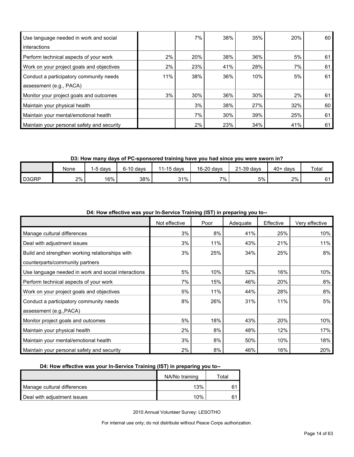| Use language needed in work and social     |     | 7%  | 38% | 35% | 20% | 60 |
|--------------------------------------------|-----|-----|-----|-----|-----|----|
| interactions                               |     |     |     |     |     |    |
| Perform technical aspects of your work     | 2%  | 20% | 38% | 36% | 5%  | 61 |
| Work on your project goals and objectives  | 2%  | 23% | 41% | 28% | 7%  | 61 |
| Conduct a participatory community needs    | 11% | 38% | 36% | 10% | 5%  | 61 |
| assessment (e.g., PACA)                    |     |     |     |     |     |    |
| Monitor your project goals and outcomes    | 3%  | 30% | 36% | 30% | 2%  | 61 |
| Maintain your physical health              |     | 3%  | 38% | 27% | 32% | 60 |
| Maintain your mental/emotional health      |     | 7%  | 30% | 39% | 25% | 61 |
| Maintain your personal safety and security |     | 2%  | 23% | 34% | 41% | 61 |

**D3: How many days of PC-sponsored training have you had since you were sworn in?**

|       | None  | 5 davs | $6-10$ davs | 1-15 davs | 16-20 days | 21-39 days | 40+<br>davs | Total |
|-------|-------|--------|-------------|-----------|------------|------------|-------------|-------|
| D3GRP | $2\%$ | 16%    | 38%         | 31%       | 7%         | 5%         | 2%          | r 1   |

| $3$ ()  p. op a $3$ job to                          |               |      |          |           |                |  |  |  |  |
|-----------------------------------------------------|---------------|------|----------|-----------|----------------|--|--|--|--|
|                                                     | Not effective | Poor | Adequate | Effective | Very effective |  |  |  |  |
| Manage cultural differences                         | 3%            | 8%   | 41%      | 25%       | 10%            |  |  |  |  |
| Deal with adjustment issues                         | 3%            | 11%  | 43%      | 21%       | 11%            |  |  |  |  |
| Build and strengthen working relationships with     | 3%            | 25%  | 34%      | 25%       | 8%             |  |  |  |  |
| counterparts/community partners                     |               |      |          |           |                |  |  |  |  |
| Use language needed in work and social interactions | 5%            | 10%  | 52%      | 16%       | 10%            |  |  |  |  |
| Perform technical aspects of your work              | 7%            | 15%  | 46%      | 20%       | 8%             |  |  |  |  |
| Work on your project goals and objectives           | 5%            | 11%  | 44%      | 28%       | 8%             |  |  |  |  |
| Conduct a participatory community needs             | 8%            | 26%  | 31%      | 11%       | 5%             |  |  |  |  |
| assessment (e.g., PACA)                             |               |      |          |           |                |  |  |  |  |
| Monitor project goals and outcomes                  | 5%            | 18%  | 43%      | 20%       | 10%            |  |  |  |  |
| Maintain your physical health                       | 2%            | 8%   | 48%      | 12%       | 17%            |  |  |  |  |
| Maintain your mental/emotional health               | 3%            | 8%   | 50%      | 10%       | 18%            |  |  |  |  |
| Maintain your personal safety and security          | 2%            | 8%   | 46%      | 16%       | 20%            |  |  |  |  |

**D4: How effective was your In-Service Training (IST) in preparing you to--**

# **D4: How effective was your In-Service Training (IST) in preparing you to--**

|                             | NA/No training | $\tau$ otal |
|-----------------------------|----------------|-------------|
| Manage cultural differences | 13%            |             |
| Deal with adjustment issues | 10%            |             |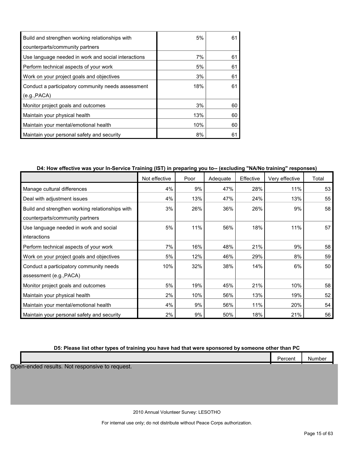| Build and strengthen working relationships with     | 5%  | 61 |
|-----------------------------------------------------|-----|----|
| counterparts/community partners                     |     |    |
| Use language needed in work and social interactions | 7%  | 61 |
| Perform technical aspects of your work              | 5%  | 61 |
| Work on your project goals and objectives           | 3%  | 61 |
| Conduct a participatory community needs assessment  | 18% | 61 |
| (e.g., PACA)                                        |     |    |
| Monitor project goals and outcomes                  | 3%  | 60 |
| Maintain your physical health                       | 13% | 60 |
| Maintain your mental/emotional health               | 10% | 60 |
| Maintain your personal safety and security          | 8%  | 61 |

# **D4: How effective was your In-Service Training (IST) in preparing you to-- (excluding "NA/No training" responses)**

|                                                 | Not effective | Poor | Adequate | Effective | Very effective | Total |
|-------------------------------------------------|---------------|------|----------|-----------|----------------|-------|
| Manage cultural differences                     | 4%            | 9%   | 47%      | 28%       | 11%            | 53    |
| Deal with adjustment issues                     | 4%            | 13%  | 47%      | 24%       | 13%            | 55    |
| Build and strengthen working relationships with | 3%            | 26%  | 36%      | 26%       | 9%             | 58    |
| counterparts/community partners                 |               |      |          |           |                |       |
| Use language needed in work and social          | 5%            | 11%  | 56%      | 18%       | 11%            | 57    |
| interactions                                    |               |      |          |           |                |       |
| Perform technical aspects of your work          | 7%            | 16%  | 48%      | 21%       | 9%             | 58    |
| Work on your project goals and objectives       | 5%            | 12%  | 46%      | 29%       | 8%             | 59    |
| Conduct a participatory community needs         | 10%           | 32%  | 38%      | 14%       | 6%             | 50    |
| assessment (e.g., PACA)                         |               |      |          |           |                |       |
| Monitor project goals and outcomes              | 5%            | 19%  | 45%      | 21%       | 10%            | 58    |
| Maintain your physical health                   | 2%            | 10%  | 56%      | 13%       | 19%            | 52    |
| Maintain your mental/emotional health           | 4%            | 9%   | 56%      | 11%       | 20%            | 54    |
| Maintain your personal safety and security      | 2%            | 9%   | 50%      | 18%       | 21%            | 56    |

# **D5: Please list other types of training you have had that were sponsored by someone other than PC**

|                                                | Percent | Number |
|------------------------------------------------|---------|--------|
| Open-ended results. Not responsive to request. |         |        |
|                                                |         |        |
|                                                |         |        |
|                                                |         |        |
|                                                |         |        |

2010 Annual Volunteer Survey: LESOTHO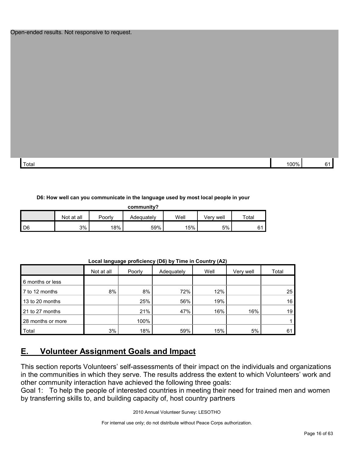#### Open-ended results. Not responsive to request.

| Total | 00% |  |
|-------|-----|--|

### **D6: How well can you communicate in the language used by most local people in your**

| community?     |            |        |            |      |           |       |  |  |  |
|----------------|------------|--------|------------|------|-----------|-------|--|--|--|
|                | Not at all | Poorly | Adequately | Well | Verv well | Total |  |  |  |
| D <sub>6</sub> | 3%         | 18%    | 59%        | 15%  | 5%        | 61    |  |  |  |

|                   |            |        | $\cdots$   | $\cdots$ |           |       |
|-------------------|------------|--------|------------|----------|-----------|-------|
|                   | Not at all | Poorly | Adequately | Well     | Very well | Total |
| 6 months or less  |            |        |            |          |           |       |
| 7 to 12 months    | 8%         | 8%     | 72%        | 12%      |           | 25    |
| 13 to 20 months   |            | 25%    | 56%        | 19%      |           | 16    |
| 21 to 27 months   |            | 21%    | 47%        | 16%      | 16%       | 19    |
| 28 months or more |            | 100%   |            |          |           |       |
| Total             | 3%         | 18%    | 59%        | 15%      | 5%        | 61    |

**Local language proficiency (D6) by Time in Country (A2)**

# <span id="page-15-0"></span>**E. Volunteer Assignment Goals and Impact**

This section reports Volunteers' self-assessments of their impact on the individuals and organizations in the communities in which they serve. The results address the extent to which Volunteers' work and other community interaction have achieved the following three goals:

Goal 1: To help the people of interested countries in meeting their need for trained men and women by transferring skills to, and building capacity of, host country partners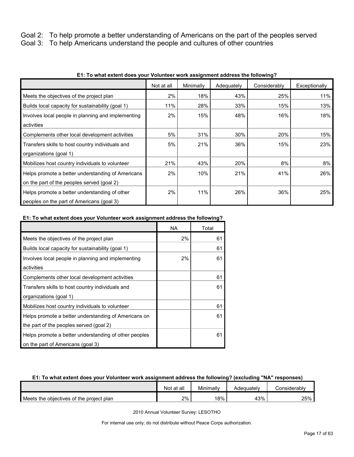Goal 2: To help promote a better understanding of Americans on the part of the peoples served

Goal 3: To help Americans understand the people and cultures of other countries

|                                                    | Not at all | Minimally | Adequately | Considerably | Exceptionally |
|----------------------------------------------------|------------|-----------|------------|--------------|---------------|
| Meets the objectives of the project plan           | 2%         | 18%       | 43%        | 25%          | 11%           |
| Builds local capacity for sustainability (goal 1)  | 11%        | 28%       | 33%        | 15%          | 13%           |
| Involves local people in planning and implementing | 2%         | 15%       | 48%        | 16%          | 18%           |
| activities                                         |            |           |            |              |               |
| Complements other local development activities     | 5%         | 31%       | 30%        | 20%          | 15%           |
| Transfers skills to host country individuals and   | 5%         | 21%       | 36%        | 15%          | 23%           |
| organizations (goal 1)                             |            |           |            |              |               |
| Mobilizes host country individuals to volunteer    | 21%        | 43%       | 20%        | 8%           | 8%            |
| Helps promote a better understanding of Americans  | 2%         | 10%       | 21%        | 41%          | 26%           |
| on the part of the peoples served (goal 2)         |            |           |            |              |               |
| Helps promote a better understanding of other      | 2%         | 11%       | 26%        | 36%          | 25%           |
| peoples on the part of Americans (goal 3)          |            |           |            |              |               |

# **E1: To what extent does your Volunteer work assignment address the following?**

# **E1: To what extent does your Volunteer work assignment address the following?**

|                                                       | NA | Total |
|-------------------------------------------------------|----|-------|
| Meets the objectives of the project plan              | 2% | 61    |
| Builds local capacity for sustainability (goal 1)     |    | 61    |
| Involves local people in planning and implementing    | 2% | 61    |
| activities                                            |    |       |
| Complements other local development activities        |    | 61    |
| Transfers skills to host country individuals and      |    | 61    |
| organizations (goal 1)                                |    |       |
| Mobilizes host country individuals to volunteer       |    | 61    |
| Helps promote a better understanding of Americans on  |    | 61    |
| the part of the peoples served (goal 2)               |    |       |
| Helps promote a better understanding of other peoples |    | 61    |
| on the part of Americans (goal 3)                     |    |       |

# **E1: To what extent does your Volunteer work assignment address the following? (excluding "NA" responses)**

|                                          | Not at all | Minimally | Adequately | ⊜onsiderablv |
|------------------------------------------|------------|-----------|------------|--------------|
| Meets the objectives of the project plan | 2%         | 18%       | 43%        | 25%          |

2010 Annual Volunteer Survey: LESOTHO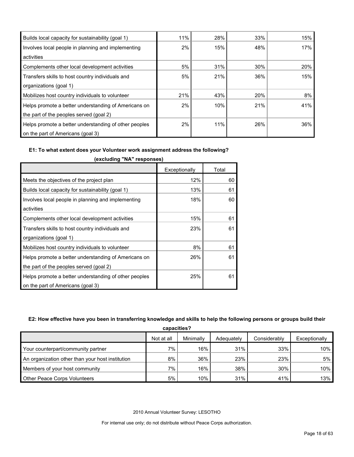| Builds local capacity for sustainability (goal 1)     | 11% | 28% | 33% | 15% |
|-------------------------------------------------------|-----|-----|-----|-----|
| Involves local people in planning and implementing    | 2%  | 15% | 48% | 17% |
| activities                                            |     |     |     |     |
| Complements other local development activities        | 5%  | 31% | 30% | 20% |
| Transfers skills to host country individuals and      | 5%  | 21% | 36% | 15% |
| organizations (goal 1)                                |     |     |     |     |
| Mobilizes host country individuals to volunteer       | 21% | 43% | 20% | 8%  |
| Helps promote a better understanding of Americans on  | 2%  | 10% | 21% | 41% |
| the part of the peoples served (goal 2)               |     |     |     |     |
| Helps promote a better understanding of other peoples | 2%  | 11% | 26% | 36% |
| on the part of Americans (goal 3)                     |     |     |     |     |

#### **E1: To what extent does your Volunteer work assignment address the following?**

|                                                       | Exceptionally | Total |
|-------------------------------------------------------|---------------|-------|
| Meets the objectives of the project plan              | 12%           | 60    |
| Builds local capacity for sustainability (goal 1)     | 13%           | 61    |
| Involves local people in planning and implementing    | 18%           | 60    |
| activities                                            |               |       |
| Complements other local development activities        | 15%           | 61    |
| Transfers skills to host country individuals and      | 23%           | 61    |
| organizations (goal 1)                                |               |       |
| Mobilizes host country individuals to volunteer       | 8%            | 61    |
| Helps promote a better understanding of Americans on  | 26%           | 61    |
| the part of the peoples served (goal 2)               |               |       |
| Helps promote a better understanding of other peoples | 25%           | 61    |
| on the part of Americans (goal 3)                     |               |       |

**(excluding "NA" responses)**

# **E2: How effective have you been in transferring knowledge and skills to help the following persons or groups build their**

| capacities?                                      |            |           |            |              |               |  |  |
|--------------------------------------------------|------------|-----------|------------|--------------|---------------|--|--|
|                                                  | Not at all | Minimally | Adequately | Considerably | Exceptionally |  |  |
| Your counterpart/community partner               | $7\%$      | 16%       | 31%        | 33%          | $10\%$        |  |  |
| An organization other than your host institution | 8%         | 36%       | 23%        | 23%          | 5%            |  |  |
| Members of your host community                   | $7\%$      | 16%       | 38%        | 30%          | $10\%$        |  |  |
| <b>Other Peace Corps Volunteers</b>              | 5%         | 10%       | 31%        | 41%          | $13\%$        |  |  |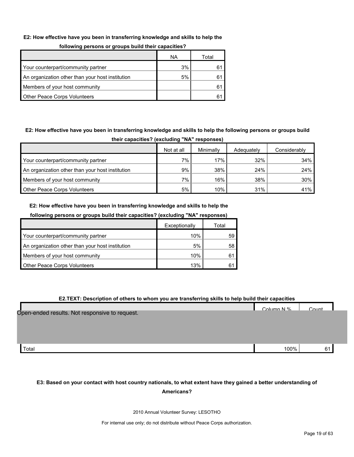#### **E2: How effective have you been in transferring knowledge and skills to help the**

| --                                               |    |       |
|--------------------------------------------------|----|-------|
|                                                  | ΝA | Total |
| Your counterpart/community partner               | 3% | 61    |
| An organization other than your host institution | 5% | 61    |
| Members of your host community                   |    | 61    |
| <b>Other Peace Corps Volunteers</b>              |    | 61    |

# **following persons or groups build their capacities?**

# **E2: How effective have you been in transferring knowledge and skills to help the following persons or groups build**

| their capacities? (excluding "NA" responses)     |            |           |            |              |  |  |  |  |
|--------------------------------------------------|------------|-----------|------------|--------------|--|--|--|--|
|                                                  | Not at all | Minimally | Adequately | Considerably |  |  |  |  |
| Your counterpart/community partner               | $7\%$      | 17%       | 32%        | 34%          |  |  |  |  |
| An organization other than your host institution | 9%         | 38%       | 24%        | 24%          |  |  |  |  |
| Members of your host community                   | $7\%$      | 16%       | 38%        | 30%          |  |  |  |  |
| <b>Other Peace Corps Volunteers</b>              | 5%         | 10%       | 31%        | 41%          |  |  |  |  |

# **E2: How effective have you been in transferring knowledge and skills to help the**

| following persons or groups build their capacities? (excluding "NA" responses) |  |  |
|--------------------------------------------------------------------------------|--|--|
|                                                                                |  |  |
|                                                                                |  |  |

|                                                  | Exceptionally | Total |
|--------------------------------------------------|---------------|-------|
| Your counterpart/community partner               | 10%           | 59    |
| An organization other than your host institution | 5%            | 58    |
| Members of your host community                   | 10%           |       |
| <b>Other Peace Corps Volunteers</b>              | 13%           |       |

#### **E2.TEXT: Description of others to whom you are transferring skills to help build their capacities**

| Open-ended results. Not responsive to request. | Column N % | $C$ $\alpha$ unt |  |
|------------------------------------------------|------------|------------------|--|
| Total                                          | 100%       | 61               |  |

# **E3: Based on your contact with host country nationals, to what extent have they gained a better understanding of Americans?**

2010 Annual Volunteer Survey: LESOTHO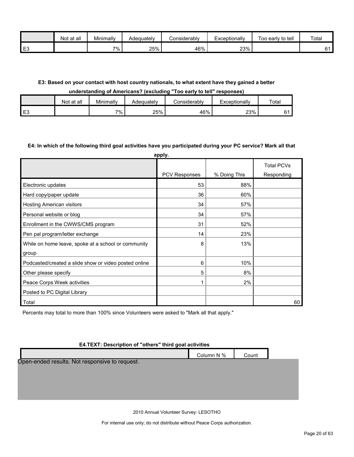|                | at all<br>Not | Minimally | Adequately | onsiderablvٽ | Exceptionally | Too early to tell | Total |
|----------------|---------------|-----------|------------|--------------|---------------|-------------------|-------|
| E <sub>3</sub> |               | 7%        | 25%        | 46%          | 23%           |                   | ົ 4   |

# **E3: Based on your contact with host country nationals, to what extent have they gained a better**

#### **understanding of Americans? (excluding "Too early to tell" responses)**

|                | Not at all | Minimally | Adequately | ∠onsiderablv | Exceptionally | Total |
|----------------|------------|-----------|------------|--------------|---------------|-------|
| E <sub>3</sub> |            | $7\%$     | 25%        | 46%          | 23%           |       |

#### **E4: In which of the following third goal activities have you participated during your PC service? Mark all that**

| apply.                                                |               |              |                                 |  |  |  |  |  |
|-------------------------------------------------------|---------------|--------------|---------------------------------|--|--|--|--|--|
|                                                       | PCV Responses | % Doing This | <b>Total PCVs</b><br>Responding |  |  |  |  |  |
| Electronic updates                                    | 53            | 88%          |                                 |  |  |  |  |  |
| Hard copy/paper update                                | 36            | 60%          |                                 |  |  |  |  |  |
| <b>Hosting American visitors</b>                      | 34            | 57%          |                                 |  |  |  |  |  |
| Personal website or blog                              | 34            | 57%          |                                 |  |  |  |  |  |
| Enrollment in the CWWS/CMS program                    | 31            | 52%          |                                 |  |  |  |  |  |
| Pen pal program/letter exchange                       | 14            | 23%          |                                 |  |  |  |  |  |
| While on home leave, spoke at a school or community   | 8             | 13%          |                                 |  |  |  |  |  |
| group                                                 |               |              |                                 |  |  |  |  |  |
| Podcasted/created a slide show or video posted online | 6             | 10%          |                                 |  |  |  |  |  |
| Other please specify                                  | 5             | 8%           |                                 |  |  |  |  |  |
| Peace Corps Week activities                           | 1             | 2%           |                                 |  |  |  |  |  |
| Posted to PC Digital Library                          |               |              |                                 |  |  |  |  |  |
| Total                                                 |               |              | 60                              |  |  |  |  |  |

Percents may total to more than 100% since Volunteers were asked to "Mark all that apply."

# **E4.TEXT: Description of "others" third goal activities**

|                                                | Column N % | Count |  |
|------------------------------------------------|------------|-------|--|
| Open-ended results. Not responsive to request. |            |       |  |
|                                                |            |       |  |
|                                                |            |       |  |
|                                                |            |       |  |

2010 Annual Volunteer Survey: LESOTHO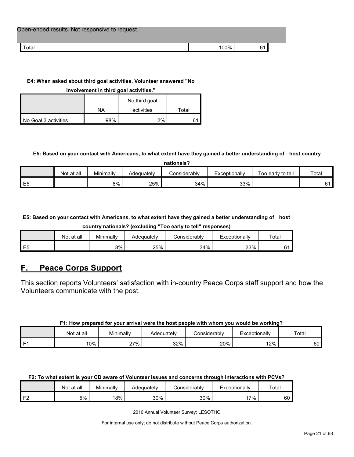| Open-ended results. Not responsive to request. |     |    |
|------------------------------------------------|-----|----|
| Total                                          | 00% | 61 |

## **E4: When asked about third goal activities, Volunteer answered "No**

**involvement in third goal activities."** 

|                      |     | No third goal |       |
|----------------------|-----|---------------|-------|
|                      | NA  | activities    | Total |
| No Goal 3 activities | 98% | 2%            |       |

# **E5: Based on your contact with Americans, to what extent have they gained a better understanding of host country**

| nationals?     |            |           |            |              |               |                   |       |
|----------------|------------|-----------|------------|--------------|---------------|-------------------|-------|
|                | Not at all | Minimally | Adequately | Considerably | Exceptionally | Too early to tell | Total |
| E <sub>5</sub> |            | 8%        | 25%        | 34%          | 33%           |                   | 61    |

**E5: Based on your contact with Americans, to what extent have they gained a better understanding of host** 

**country nationals? (excluding "Too early to tell" responses)**

|                | Not at all | Minimally | Adequately | onsiderablyٽ | Exceptionallv | Total |
|----------------|------------|-----------|------------|--------------|---------------|-------|
| E <sub>5</sub> |            | 8%        | 25%        | 34%          | 33%           |       |

# <span id="page-20-0"></span>**F. Peace Corps Support**

This section reports Volunteers' satisfaction with in-country Peace Corps staff support and how the Volunteers communicate with the post.

# **F1: How prepared for your arrival were the host people with whom you would be working?**

|      | at all<br>Not | Minimally | Adequatelv | Considerably | Exceptionally | Total |
|------|---------------|-----------|------------|--------------|---------------|-------|
| l F1 | 0%            | ?7%       | 32%        | 20%          | 12%           | 60    |

| F2: To what extent is your CD aware of Volunteer issues and concerns through interactions with PCVs? |
|------------------------------------------------------------------------------------------------------|
|                                                                                                      |

|                | Not at all | Minimally | Adequately | こonsiderablv | Exceptionally | Total |
|----------------|------------|-----------|------------|--------------|---------------|-------|
| r <sub>o</sub> | 5%         | 18%       | 30%        | 30%          | $7\%$         | 60    |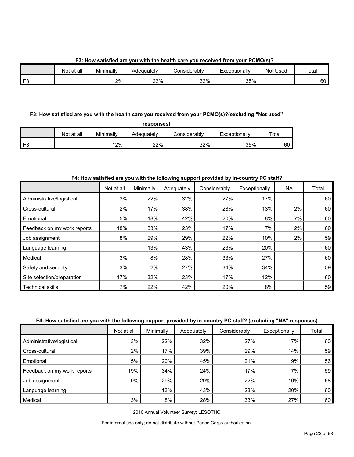**F3: How satisfied are you with the health care you received from your PCMO(s)?**

|        | Not at all | Minimally | Adequately | Considerablv | Exceptionally | Not Used | Total |
|--------|------------|-----------|------------|--------------|---------------|----------|-------|
| $\sim$ |            | i 2%      | 22%        | 32%          | 35%           |          | 60    |

# **F3: How satisfied are you with the health care you received from your PCMO(s)?(excluding "Not used"**

| oonse<br>s |
|------------|
|------------|

|                | Not at all | Minimally | Adequatelv | こonsiderablv | Exceptionally | Total |
|----------------|------------|-----------|------------|--------------|---------------|-------|
| F <sub>3</sub> |            | $12\%$    | 22%        | 32%          | 35%           | 60    |

# **F4: How satisfied are you with the following support provided by in-country PC staff?**

|                             | Not at all | Minimally | Adequately | Considerably | Exceptionally | <b>NA</b> | Total |
|-----------------------------|------------|-----------|------------|--------------|---------------|-----------|-------|
| Administrative/logistical   | 3%         | 22%       | 32%        | 27%          | 17%           |           | 60    |
| Cross-cultural              | 2%         | 17%       | 38%        | 28%          | 13%           | 2%        | 60    |
| Emotional                   | 5%         | 18%       | 42%        | 20%          | 8%            | 7%        | 60    |
| Feedback on my work reports | 18%        | 33%       | 23%        | 17%          | 7%            | 2%        | 60    |
| Job assignment              | 8%         | 29%       | 29%        | 22%          | 10%           | 2%        | 59    |
| Language learning           |            | 13%       | 43%        | 23%          | 20%           |           | 60    |
| Medical                     | 3%         | 8%        | 28%        | 33%          | 27%           |           | 60    |
| Safety and security         | 3%         | 2%        | 27%        | 34%          | 34%           |           | 59    |
| Site selection/preparation  | 17%        | 32%       | 23%        | 17%          | 12%           |           | 60    |
| <b>Technical skills</b>     | 7%         | 22%       | 42%        | 20%          | 8%            |           | 59    |

# **F4: How satisfied are you with the following support provided by in-country PC staff? (excluding "NA" responses)**

|                             | Not at all | Minimally | Adequately | Considerably | Exceptionally | Total |
|-----------------------------|------------|-----------|------------|--------------|---------------|-------|
| Administrative/logistical   | 3%         | 22%       | 32%        | 27%          | 17%           | 60    |
| Cross-cultural              | 2%         | 17%       | 39%        | 29%          | 14%           | 59    |
| Emotional                   | 5%         | 20%       | 45%        | 21%          | 9%            | 56    |
| Feedback on my work reports | 19%        | 34%       | 24%        | 17%          | 7%            | 59    |
| Job assignment              | 9%         | 29%       | 29%        | 22%          | 10%           | 58    |
| Language learning           |            | 13%       | 43%        | 23%          | 20%           | 60    |
| Medical                     | 3%         | 8%        | 28%        | 33%          | 27%           | 60    |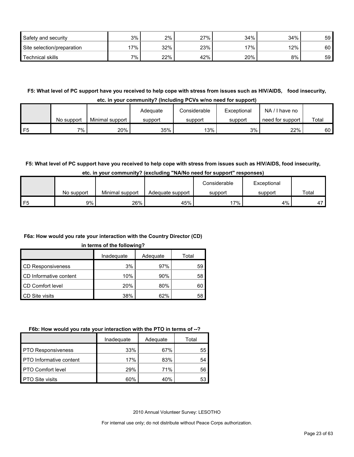| Safety and security        | 3%  | 2%  | 27% | 34%    | 34%    | 59 |
|----------------------------|-----|-----|-----|--------|--------|----|
| Site selection/preparation | 17% | 32% | 23% | $17\%$ | $12\%$ | 60 |
| <b>Technical skills</b>    | 7%  | 22% | 42% | 20%    | 8%     | 59 |

**F5: What level of PC support have you received to help cope with stress from issues such as HIV/AIDS, food insecurity, etc. in your community? (Including PCVs w/no need for support)**

|    | No support | Minimal support | Adequate<br>support | Considerable<br>support | Exceptional<br>support | NA.<br>I have no<br>need for support | Total |
|----|------------|-----------------|---------------------|-------------------------|------------------------|--------------------------------------|-------|
| F5 | 7%         | 20%             | 35%                 | 13%                     | 3%                     | 22%                                  | 60    |

# **F5: What level of PC support have you received to help cope with stress from issues such as HIV/AIDS, food insecurity,**

|    |            |                 |                  | Considerable | Exceptional |       |
|----|------------|-----------------|------------------|--------------|-------------|-------|
|    | No support | Minimal support | Adequate support | support      | support     | Total |
| F5 | 9%         | 26%             | 45%              | '7%          | 4%          | 4'    |

# **F6a: How would you rate your interaction with the Country Director (CD)**

#### **in terms of the following?**

|                          | Inadequate | Adequate | Total |
|--------------------------|------------|----------|-------|
| <b>CD Responsiveness</b> | 3%         | 97%      | 59    |
| CD Informative content   | 10%        | 90%      | 58    |
| CD Comfort level         | 20%        | 80%      | 60    |
| <b>CD Site visits</b>    | 38%        | 62%      | 58    |

#### **F6b: How would you rate your interaction with the PTO in terms of --?**

|                                | Inadequate | Adequate | Total |
|--------------------------------|------------|----------|-------|
| <b>PTO Responsiveness</b>      | 33%        | 67%      | 55    |
| <b>PTO</b> Informative content | 17%        | 83%      | 54    |
| <b>PTO Comfort level</b>       | 29%        | 71%      | 56    |
| <b>PTO Site visits</b>         | 60%        | 40%      | 53    |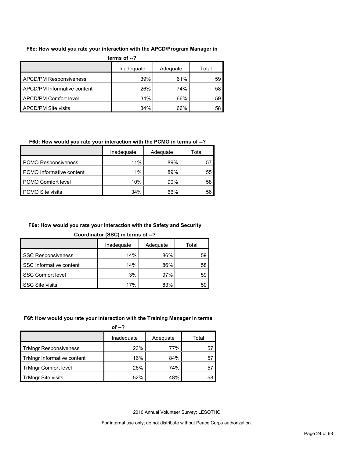#### **F6c: How would you rate your interaction with the APCD/Program Manager in**

| terms of $-2$                 |            |          |       |  |  |  |
|-------------------------------|------------|----------|-------|--|--|--|
|                               | Inadequate | Adequate | Total |  |  |  |
| <b>APCD/PM Responsiveness</b> | 39%        | 61%      | 59    |  |  |  |
| APCD/PM Informative content   | 26%        | 74%      | 58    |  |  |  |
| APCD/PM Comfort level         | 34%        | 66%      | 59    |  |  |  |
| <b>APCD/PM Site visits</b>    | 34%        | 66%      | 58    |  |  |  |

# **F6d: How would you rate your interaction with the PCMO in terms of --?**

|                            | Inadeguate | Adequate | Total |
|----------------------------|------------|----------|-------|
| <b>PCMO Responsiveness</b> | 11%        | 89%      | 57    |
| PCMO Informative content   | 11%        | 89%      | 55    |
| <b>PCMO Comfort level</b>  | 10%        | 90%      | 58    |
| PCMO Site visits           | 34%        | 66%      | 56    |

# **F6e: How would you rate your interaction with the Safety and Security**

**Coordinator (SSC) in terms of --?**

|                           | Inadequate | Adequate | Total |
|---------------------------|------------|----------|-------|
| <b>SSC Responsiveness</b> | 14%        | 86%      | 59    |
| SSC Informative content   | 14%        | 86%      | 58    |
| SSC Comfort level         | 3%         | 97%      | 59    |
| <b>SSC Site visits</b>    | 17%        | 83%      | 59    |

# **F6f: How would you rate your interaction with the Training Manager in terms**

|                              | of $-2$    |          |       |
|------------------------------|------------|----------|-------|
|                              | Inadequate | Adequate | Total |
| <b>TrMngr Responsiveness</b> | 23%        | 77%      | 57    |
| TrMngr Informative content   | 16%        | 84%      | 57    |
| <b>TrMngr Comfort level</b>  | 26%        | 74%      | 57    |
| <b>TrMngr Site visits</b>    | 52%        | 48%      | 58    |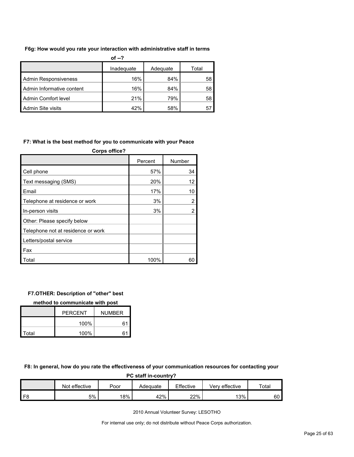#### **F6g: How would you rate your interaction with administrative staff in terms**

| of $-?$                     |            |          |       |  |  |  |
|-----------------------------|------------|----------|-------|--|--|--|
|                             | Inadequate | Adequate | Total |  |  |  |
| <b>Admin Responsiveness</b> | 16%        | 84%      | 58    |  |  |  |
| Admin Informative content   | 16%        | 84%      | 58    |  |  |  |
| Admin Comfort level         | 21%        | 79%      | 58    |  |  |  |
| Admin Site visits           | 42%        | 58%      | 57    |  |  |  |

#### **F7: What is the best method for you to communicate with your Peace**

| <b>Corps office?</b>               |         |        |  |  |  |  |
|------------------------------------|---------|--------|--|--|--|--|
|                                    | Percent | Number |  |  |  |  |
| Cell phone                         | 57%     | 34     |  |  |  |  |
| Text messaging (SMS)               | 20%     | 12     |  |  |  |  |
| Email                              | 17%     | 10     |  |  |  |  |
| Telephone at residence or work     | 3%      | 2      |  |  |  |  |
| In-person visits                   | 3%      | 2      |  |  |  |  |
| Other: Please specify below        |         |        |  |  |  |  |
| Telephone not at residence or work |         |        |  |  |  |  |
| Letters/postal service             |         |        |  |  |  |  |
| Fax                                |         |        |  |  |  |  |
| Total                              | 100%    | 60     |  |  |  |  |

#### **F7.OTHER: Description of "other" best**

**method to communicate with post**

|       | <b>PERCENT</b><br><b>NUMBER</b> |    |
|-------|---------------------------------|----|
|       | 100%                            | 61 |
| Total | 100%                            | 61 |

**F8: In general, how do you rate the effectiveness of your communication resources for contacting your** 

| PC staff in-country? |               |      |          |           |                |             |  |
|----------------------|---------------|------|----------|-----------|----------------|-------------|--|
|                      | Not effective | Poor | Adequate | Effective | Verv effective | $\tau$ otal |  |
| F8                   | 5%            | 18%  | 42%      | 22%       | 13%            | 60          |  |

2010 Annual Volunteer Survey: LESOTHO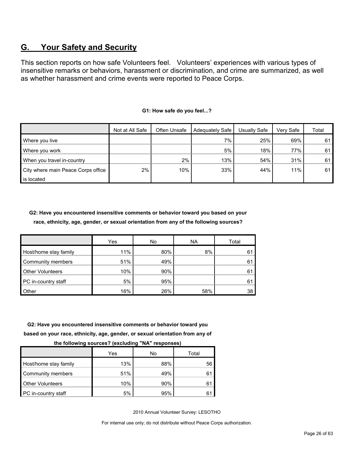# <span id="page-25-0"></span>**G. Your Safety and Security**

This section reports on how safe Volunteers feel. Volunteers' experiences with various types of insensitive remarks or behaviors, harassment or discrimination, and crime are summarized, as well as whether harassment and crime events were reported to Peace Corps.

|                                    | Not at All Safe | Often Unsafe | Adequately Safe | Usually Safe | Verv Safe | Total |
|------------------------------------|-----------------|--------------|-----------------|--------------|-----------|-------|
| Where you live                     |                 |              | 7%              | 25%          | 69%       | 61    |
| Where you work                     |                 |              | 5%              | 18%          | 77%       | 61    |
| When you travel in-country         |                 | 2%           | 13%             | 54%          | 31%       | 61    |
| City where main Peace Corps office | 2%              | 10%          | 33%             | 44%          | 11%       | 61    |
| is located                         |                 |              |                 |              |           |       |

#### **G1: How safe do you feel...?**

**G2: Have you encountered insensitive comments or behavior toward you based on your race, ethnicity, age, gender, or sexual orientation from any of the following sources?**

|                         | Yes | No  | <b>NA</b> | Total |
|-------------------------|-----|-----|-----------|-------|
| Host/home stay family   | 11% | 80% | 8%        | 61    |
| Community members       | 51% | 49% |           | 61    |
| <b>Other Volunteers</b> | 10% | 90% |           | 61    |
| PC in-country staff     | 5%  | 95% |           | 61    |
| Other                   | 16% | 26% | 58%       | 38    |

# **G2: Have you encountered insensitive comments or behavior toward you based on your race, ethnicity, age, gender, or sexual orientation from any of**

| .<br>.<br>. <u>.</u>    |     |     |       |  |  |  |  |  |
|-------------------------|-----|-----|-------|--|--|--|--|--|
|                         | Yes | No  | Total |  |  |  |  |  |
| Host/home stay family   | 13% | 88% | 56    |  |  |  |  |  |
| Community members       | 51% | 49% | 61    |  |  |  |  |  |
| <b>Other Volunteers</b> | 10% | 90% | 61    |  |  |  |  |  |
| PC in-country staff     | 5%  | 95% |       |  |  |  |  |  |

**the following sources? (excluding "NA" responses)**

2010 Annual Volunteer Survey: LESOTHO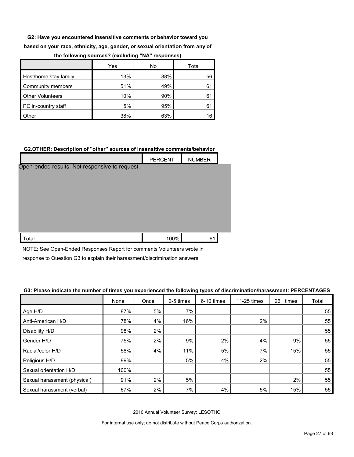**G2: Have you encountered insensitive comments or behavior toward you based on your race, ethnicity, age, gender, or sexual orientation from any of** 

|                         | Yes | No  | Total |
|-------------------------|-----|-----|-------|
| Host/home stay family   | 13% | 88% | 56    |
| Community members       | 51% | 49% | 61    |
| <b>Other Volunteers</b> | 10% | 90% | 61    |
| PC in-country staff     | 5%  | 95% |       |
| <b>Other</b>            | 38% | 63% | 16    |

#### **the following sources? (excluding "NA" responses)**

#### **G2.OTHER: Description of "other" sources of insensitive comments/behavior**

|                                                | <b>PERCENT</b> | <b>NUMBER</b> |  |
|------------------------------------------------|----------------|---------------|--|
| Open-ended results. Not responsive to request. |                |               |  |
|                                                |                |               |  |
|                                                |                |               |  |
|                                                |                |               |  |
|                                                |                |               |  |
|                                                |                |               |  |
|                                                |                |               |  |
| Total                                          | 100%           | 61            |  |

NOTE: See Open-Ended Responses Report for comments Volunteers wrote in

response to Question G3 to explain their harassment/discrimination answers.

#### **G3: Please indicate the number of times you experienced the following types of discrimination/harassment: PERCENTAGES**

|                              | None | Once | 2-5 times | 6-10 times | 11-25 times | 26+ times | Total |
|------------------------------|------|------|-----------|------------|-------------|-----------|-------|
| Age H/D                      | 87%  | 5%   | 7%        |            |             |           | 55    |
| Anti-American H/D            | 78%  | 4%   | 16%       |            | 2%          |           | 55    |
| Disability H/D               | 98%  | 2%   |           |            |             |           | 55    |
| Gender H/D                   | 75%  | 2%   | 9%        | 2%         | 4%          | 9%        | 55    |
| Racial/color H/D             | 58%  | 4%   | 11%       | 5%         | 7%          | 15%       | 55    |
| Religious H/D                | 89%  |      | 5%        | 4%         | 2%          |           | 55    |
| Sexual orientation H/D       | 100% |      |           |            |             |           | 55    |
| Sexual harassment (physical) | 91%  | 2%   | 5%        |            |             | 2%        | 55    |
| Sexual harassment (verbal)   | 67%  | 2%   | 7%        | 4%         | 5%          | 15%       | 55    |

2010 Annual Volunteer Survey: LESOTHO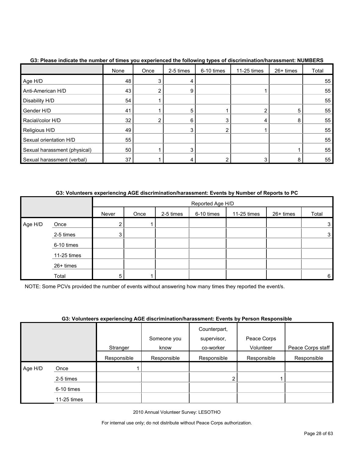|                              | None            | Once | 2-5 times | 6-10 times | 11-25 times | 26+ times | Total |
|------------------------------|-----------------|------|-----------|------------|-------------|-----------|-------|
| Age H/D                      | 48              |      |           |            |             |           | 55    |
| Anti-American H/D            | 43              |      | 9         |            |             |           | 55    |
| Disability H/D               | 54              |      |           |            |             |           | 55    |
| Gender H/D                   | 41              |      |           |            | 2           | 5         | 55    |
| Racial/color H/D             | 32              |      | 6         | 3          | 4           | 8         | 55    |
| Religious H/D                | 49              |      |           |            |             |           | 55    |
| Sexual orientation H/D       | 55              |      |           |            |             |           | 55    |
| Sexual harassment (physical) | 50              |      |           |            |             |           | 55    |
| Sexual harassment (verbal)   | 37 <sub>1</sub> |      |           |            | 3           | 8         | 55    |

## **G3: Please indicate the number of times you experienced the following types of discrimination/harassment: NUMBERS**

# **G3: Volunteers experiencing AGE discrimination/harassment: Events by Number of Reports to PC**

|         |             |                | Reported Age H/D |           |            |             |           |                |  |  |  |  |
|---------|-------------|----------------|------------------|-----------|------------|-------------|-----------|----------------|--|--|--|--|
|         |             | Never          | Once             | 2-5 times | 6-10 times | 11-25 times | 26+ times | Total          |  |  |  |  |
| Age H/D | Once        | $\overline{2}$ |                  |           |            |             |           | 3              |  |  |  |  |
|         | 2-5 times   | 3 <sup>1</sup> |                  |           |            |             |           | 3              |  |  |  |  |
|         | 6-10 times  |                |                  |           |            |             |           |                |  |  |  |  |
|         | 11-25 times |                |                  |           |            |             |           |                |  |  |  |  |
|         | 26+ times   |                |                  |           |            |             |           |                |  |  |  |  |
|         | Total       | 5              |                  |           |            |             |           | 6 <sup>1</sup> |  |  |  |  |

NOTE: Some PCVs provided the number of events without answering how many times they reported the event/s.

#### **G3: Volunteers experiencing AGE discrimination/harassment: Events by Person Responsible**

|         |             | . .         |             |              |             |                   |
|---------|-------------|-------------|-------------|--------------|-------------|-------------------|
|         |             |             |             | Counterpart, |             |                   |
|         |             |             | Someone you | supervisor,  | Peace Corps |                   |
|         |             | Stranger    | know        | co-worker    | Volunteer   | Peace Corps staff |
|         |             | Responsible | Responsible | Responsible  | Responsible | Responsible       |
| Age H/D | Once        |             |             |              |             |                   |
|         | 2-5 times   |             |             |              |             |                   |
|         | 6-10 times  |             |             |              |             |                   |
|         | 11-25 times |             |             |              |             |                   |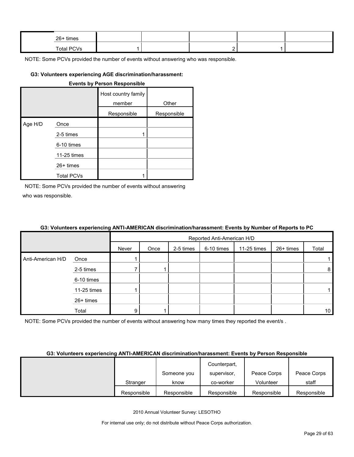| 26+ times  |  |  |  |
|------------|--|--|--|
| Total PCVs |  |  |  |

#### **G3: Volunteers experiencing AGE discrimination/harassment:**

|         |                   | <b>Events by Person Responsible</b> |             |
|---------|-------------------|-------------------------------------|-------------|
|         |                   | Host country family<br>member       | Other       |
|         |                   | Responsible                         | Responsible |
| Age H/D | Once              |                                     |             |
|         | 2-5 times         |                                     |             |
|         | 6-10 times        |                                     |             |
|         | 11-25 times       |                                     |             |
|         | $26+$ times       |                                     |             |
|         | <b>Total PCVs</b> |                                     |             |

NOTE: Some PCVs provided the number of events without answering who was responsible.

# **G3: Volunteers experiencing ANTI-AMERICAN discrimination/harassment: Events by Number of Reports to PC**

|                   |             |       | Reported Anti-American H/D |           |            |             |           |                 |
|-------------------|-------------|-------|----------------------------|-----------|------------|-------------|-----------|-----------------|
|                   |             | Never | Once                       | 2-5 times | 6-10 times | 11-25 times | 26+ times | Total           |
| Anti-American H/D | Once        |       |                            |           |            |             |           |                 |
|                   | 2-5 times   |       |                            |           |            |             |           | 8               |
|                   | 6-10 times  |       |                            |           |            |             |           |                 |
|                   | 11-25 times |       |                            |           |            |             |           |                 |
|                   | 26+ times   |       |                            |           |            |             |           |                 |
|                   | Total       | 9     |                            |           |            |             |           | 10 <sup>°</sup> |

NOTE: Some PCVs provided the number of events without answering how many times they reported the event/s.

#### **G3: Volunteers experiencing ANTI-AMERICAN discrimination/harassment: Events by Person Responsible**

|             |             | Counterpart. |             |             |
|-------------|-------------|--------------|-------------|-------------|
|             | Someone you | supervisor.  | Peace Corps | Peace Corps |
| Stranger    | know        | co-worker    | Volunteer   | staff       |
| Responsible | Responsible | Responsible  | Responsible | Responsible |

2010 Annual Volunteer Survey: LESOTHO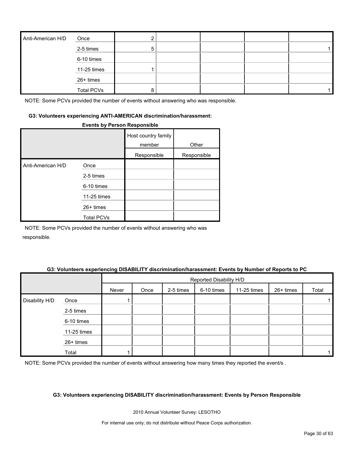| Anti-American H/D | Once              |    |  |  |
|-------------------|-------------------|----|--|--|
|                   | 2-5 times         | 'n |  |  |
|                   | 6-10 times        |    |  |  |
|                   | 11-25 times       |    |  |  |
|                   | 26+ times         |    |  |  |
|                   | <b>Total PCVs</b> |    |  |  |

#### **G3: Volunteers experiencing ANTI-AMERICAN discrimination/harassment:**

#### **Events by Person Responsible**

|                   |                   | Host country family<br>member | Other       |
|-------------------|-------------------|-------------------------------|-------------|
|                   |                   | Responsible                   | Responsible |
| Anti-American H/D | Once              |                               |             |
|                   | 2-5 times         |                               |             |
|                   | 6-10 times        |                               |             |
|                   | 11-25 times       |                               |             |
|                   | $26+$ times       |                               |             |
|                   | <b>Total PCVs</b> |                               |             |

NOTE: Some PCVs provided the number of events without answering who was responsible.

## **G3: Volunteers experiencing DISABILITY discrimination/harassment: Events by Number of Reports to PC**

|                |             |       | Reported Disability H/D |           |            |             |           |       |
|----------------|-------------|-------|-------------------------|-----------|------------|-------------|-----------|-------|
|                |             | Never | Once                    | 2-5 times | 6-10 times | 11-25 times | 26+ times | Total |
| Disability H/D | Once        |       |                         |           |            |             |           |       |
|                | 2-5 times   |       |                         |           |            |             |           |       |
|                | 6-10 times  |       |                         |           |            |             |           |       |
|                | 11-25 times |       |                         |           |            |             |           |       |
|                | 26+ times   |       |                         |           |            |             |           |       |
|                | Total       |       |                         |           |            |             |           |       |

NOTE: Some PCVs provided the number of events without answering how many times they reported the event/s.

#### **G3: Volunteers experiencing DISABILITY discrimination/harassment: Events by Person Responsible**

2010 Annual Volunteer Survey: LESOTHO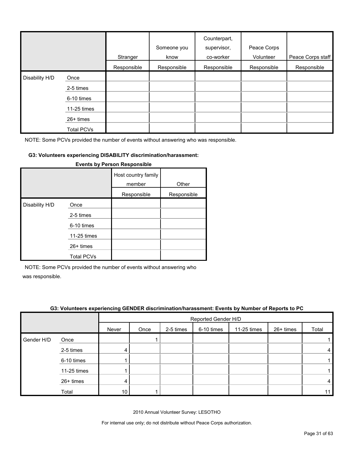|                |             | Stranger    | Someone you<br>know | Counterpart,<br>supervisor,<br>co-worker | Peace Corps<br>Volunteer | Peace Corps staff |
|----------------|-------------|-------------|---------------------|------------------------------------------|--------------------------|-------------------|
|                |             | Responsible | Responsible         | Responsible                              | Responsible              | Responsible       |
| Disability H/D | Once        |             |                     |                                          |                          |                   |
|                | 2-5 times   |             |                     |                                          |                          |                   |
|                | 6-10 times  |             |                     |                                          |                          |                   |
|                | 11-25 times |             |                     |                                          |                          |                   |
|                | 26+ times   |             |                     |                                          |                          |                   |
|                | Total PCVs  |             |                     |                                          |                          |                   |

#### **G3: Volunteers experiencing DISABILITY discrimination/harassment:**

|                |                   | Host country family<br>member | Other       |
|----------------|-------------------|-------------------------------|-------------|
|                |                   | Responsible                   | Responsible |
| Disability H/D | Once              |                               |             |
|                | 2-5 times         |                               |             |
|                | 6-10 times        |                               |             |
|                | 11-25 times       |                               |             |
|                | 26+ times         |                               |             |
|                | <b>Total PCVs</b> |                               |             |

#### **Events by Person Responsible**

NOTE: Some PCVs provided the number of events without answering who

was responsible.

|            | .           | - -   |                     |           |            |             |           |       |  |
|------------|-------------|-------|---------------------|-----------|------------|-------------|-----------|-------|--|
|            |             |       | Reported Gender H/D |           |            |             |           |       |  |
|            |             | Never | Once                | 2-5 times | 6-10 times | 11-25 times | 26+ times | Total |  |
| Gender H/D | Once        |       |                     |           |            |             |           |       |  |
|            | 2-5 times   | 4     |                     |           |            |             |           | 4     |  |
|            | 6-10 times  |       |                     |           |            |             |           |       |  |
|            | 11-25 times |       |                     |           |            |             |           |       |  |
|            | 26+ times   | 4     |                     |           |            |             |           | 4     |  |
|            | Total       | 10    |                     |           |            |             |           | 11    |  |

#### **G3: Volunteers experiencing GENDER discrimination/harassment: Events by Number of Reports to PC**

2010 Annual Volunteer Survey: LESOTHO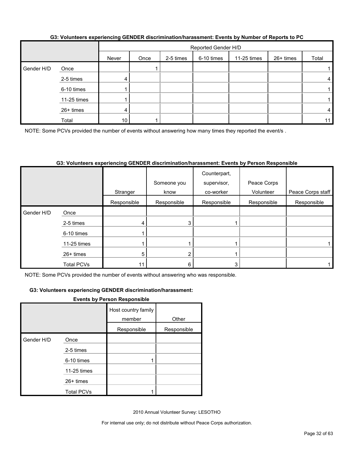|            |             |       | Reported Gender H/D |           |            |             |           |       |  |
|------------|-------------|-------|---------------------|-----------|------------|-------------|-----------|-------|--|
|            |             | Never | Once                | 2-5 times | 6-10 times | 11-25 times | 26+ times | Total |  |
| Gender H/D | Once        |       |                     |           |            |             |           |       |  |
|            | 2-5 times   | 4     |                     |           |            |             |           | 4     |  |
|            | 6-10 times  |       |                     |           |            |             |           |       |  |
|            | 11-25 times |       |                     |           |            |             |           |       |  |
|            | 26+ times   | 4     |                     |           |            |             |           | 4     |  |
|            | Total       | 10    |                     |           |            |             |           | 11    |  |

## **G3: Volunteers experiencing GENDER discrimination/harassment: Events by Number of Reports to PC**

NOTE: Some PCVs provided the number of events without answering how many times they reported the event/s.

# **G3: Volunteers experiencing GENDER discrimination/harassment: Events by Person Responsible**

|            |             |             | Someone you | Counterpart,<br>supervisor, | Peace Corps |                   |
|------------|-------------|-------------|-------------|-----------------------------|-------------|-------------------|
|            |             | Stranger    | know        | co-worker                   | Volunteer   | Peace Corps staff |
|            |             | Responsible | Responsible | Responsible                 | Responsible | Responsible       |
| Gender H/D | Once        |             |             |                             |             |                   |
|            | 2-5 times   | 4           | 3           |                             |             |                   |
|            | 6-10 times  |             |             |                             |             |                   |
|            | 11-25 times |             |             |                             |             |                   |
|            | 26+ times   | 5           | 2           |                             |             |                   |
|            | Total PCVs  | 11          | 6           | 3                           |             |                   |

NOTE: Some PCVs provided the number of events without answering who was responsible.

## **G3: Volunteers experiencing GENDER discrimination/harassment:**

#### **Events by Person Responsible**

|            |                   | Host country family<br>member | Other       |
|------------|-------------------|-------------------------------|-------------|
|            |                   | Responsible                   | Responsible |
| Gender H/D | Once              |                               |             |
|            | 2-5 times         |                               |             |
|            | 6-10 times        |                               |             |
|            | 11-25 times       |                               |             |
|            | $26+$ times       |                               |             |
|            | <b>Total PCVs</b> |                               |             |

2010 Annual Volunteer Survey: LESOTHO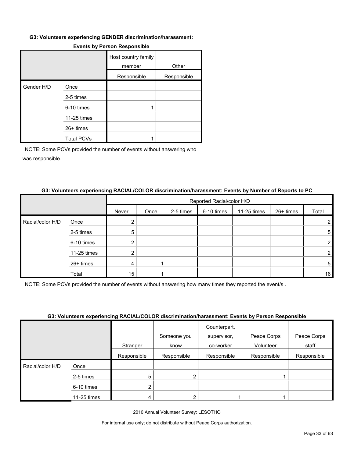#### **G3: Volunteers experiencing GENDER discrimination/harassment:**

|            |                   | Host country family<br>member | Other       |
|------------|-------------------|-------------------------------|-------------|
|            |                   | Responsible                   | Responsible |
| Gender H/D | Once              |                               |             |
|            | 2-5 times         |                               |             |
|            | 6-10 times        |                               |             |
|            | 11-25 times       |                               |             |
|            | 26+ times         |                               |             |
|            | <b>Total PCVs</b> |                               |             |

#### **Events by Person Responsible**

NOTE: Some PCVs provided the number of events without answering who was responsible.

#### **G3: Volunteers experiencing RACIAL/COLOR discrimination/harassment: Events by Number of Reports to PC**

|                  |             |       | Reported Racial/color H/D |           |            |             |           |       |
|------------------|-------------|-------|---------------------------|-----------|------------|-------------|-----------|-------|
|                  |             | Never | Once                      | 2-5 times | 6-10 times | 11-25 times | 26+ times | Total |
| Racial/color H/D | Once        |       |                           |           |            |             |           |       |
|                  | 2-5 times   | 5     |                           |           |            |             |           | 5     |
|                  | 6-10 times  | ◠     |                           |           |            |             |           | ົ     |
|                  | 11-25 times |       |                           |           |            |             |           |       |
|                  | 26+ times   | 4     |                           |           |            |             |           | 5     |
|                  | Total       | 15    |                           |           |            |             |           | 16    |

NOTE: Some PCVs provided the number of events without answering how many times they reported the event/s .

## **G3: Volunteers experiencing RACIAL/COLOR discrimination/harassment: Events by Person Responsible**

|                  |             |             | Someone you<br>know | Counterpart,<br>supervisor,<br>co-worker | Peace Corps<br>Volunteer | Peace Corps<br>staff |
|------------------|-------------|-------------|---------------------|------------------------------------------|--------------------------|----------------------|
|                  |             | Stranger    |                     |                                          |                          |                      |
|                  |             | Responsible | Responsible         | Responsible                              | Responsible              | Responsible          |
| Racial/color H/D | Once        |             |                     |                                          |                          |                      |
|                  | 2-5 times   | 5           | ົ                   |                                          |                          |                      |
|                  | 6-10 times  |             |                     |                                          |                          |                      |
|                  | 11-25 times |             |                     |                                          |                          |                      |

2010 Annual Volunteer Survey: LESOTHO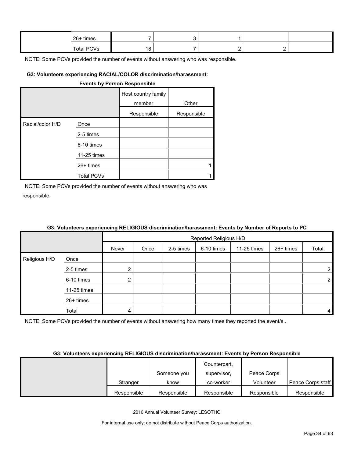| 26+ times         |  |  |  |
|-------------------|--|--|--|
| <b>Total PCVs</b> |  |  |  |

#### **G3: Volunteers experiencing RACIAL/COLOR discrimination/harassment:**

#### **Events by Person Responsible**

|                  |                   | Host country family<br>member | Other       |
|------------------|-------------------|-------------------------------|-------------|
|                  |                   | Responsible                   | Responsible |
| Racial/color H/D | Once              |                               |             |
|                  | 2-5 times         |                               |             |
|                  | 6-10 times        |                               |             |
|                  | 11-25 times       |                               |             |
|                  | $26+$ times       |                               |             |
|                  | <b>Total PCVs</b> |                               |             |

NOTE: Some PCVs provided the number of events without answering who was responsible.

| G3: Volunteers experiencing RELIGIOUS discrimination/harassment: Events by Number of Reports to PC |  |                        |  |  |
|----------------------------------------------------------------------------------------------------|--|------------------------|--|--|
|                                                                                                    |  | Reported Religious H/D |  |  |
|                                                                                                    |  |                        |  |  |

|               |             |       | <b>INCPORTOG INCIPIOUS IND</b> |           |            |             |           |                |
|---------------|-------------|-------|--------------------------------|-----------|------------|-------------|-----------|----------------|
|               |             | Never | Once                           | 2-5 times | 6-10 times | 11-25 times | 26+ times | Total          |
| Religious H/D | Once        |       |                                |           |            |             |           |                |
|               | 2-5 times   | ◠     |                                |           |            |             |           | $\overline{2}$ |
|               | 6-10 times  | ◠     |                                |           |            |             |           | $\overline{2}$ |
|               | 11-25 times |       |                                |           |            |             |           |                |
|               | 26+ times   |       |                                |           |            |             |           |                |
|               | Total       | 4     |                                |           |            |             |           | 4              |

NOTE: Some PCVs provided the number of events without answering how many times they reported the event/s.

#### **G3: Volunteers experiencing RELIGIOUS discrimination/harassment: Events by Person Responsible**

|             |             | Counterpart, |             |                   |
|-------------|-------------|--------------|-------------|-------------------|
|             | Someone you | supervisor,  | Peace Corps |                   |
| Stranger    | know        | co-worker    | Volunteer   | Peace Corps staff |
| Responsible | Responsible | Responsible  | Responsible | Responsible       |

2010 Annual Volunteer Survey: LESOTHO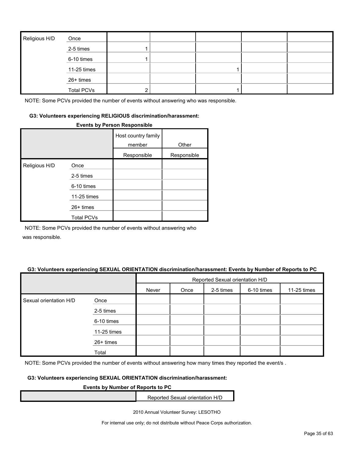| Religious H/D | Once              |   |  |  |
|---------------|-------------------|---|--|--|
|               | 2-5 times         |   |  |  |
|               | 6-10 times        |   |  |  |
|               | 11-25 times       |   |  |  |
|               | 26+ times         |   |  |  |
|               | <b>Total PCVs</b> | ◠ |  |  |

#### **G3: Volunteers experiencing RELIGIOUS discrimination/harassment:**

#### **Events by Person Responsible**

|               |                   | Host country family<br>member | Other       |
|---------------|-------------------|-------------------------------|-------------|
|               |                   | Responsible                   | Responsible |
| Religious H/D | Once              |                               |             |
|               | 2-5 times         |                               |             |
|               | 6-10 times        |                               |             |
|               | 11-25 times       |                               |             |
|               | $26+$ times       |                               |             |
|               | <b>Total PCVs</b> |                               |             |

NOTE: Some PCVs provided the number of events without answering who

was responsible.

#### **G3: Volunteers experiencing SEXUAL ORIENTATION discrimination/harassment: Events by Number of Reports to PC**

|                        |             | Reported Sexual orientation H/D |      |           |            |             |  |
|------------------------|-------------|---------------------------------|------|-----------|------------|-------------|--|
|                        |             | Never                           | Once | 2-5 times | 6-10 times | 11-25 times |  |
| Sexual orientation H/D | Once        |                                 |      |           |            |             |  |
|                        | 2-5 times   |                                 |      |           |            |             |  |
|                        | 6-10 times  |                                 |      |           |            |             |  |
|                        | 11-25 times |                                 |      |           |            |             |  |
|                        | 26+ times   |                                 |      |           |            |             |  |
|                        | Total       |                                 |      |           |            |             |  |

NOTE: Some PCVs provided the number of events without answering how many times they reported the event/s.

## **G3: Volunteers experiencing SEXUAL ORIENTATION discrimination/harassment:**

#### **Events by Number of Reports to PC**

Reported Sexual orientation H/D

2010 Annual Volunteer Survey: LESOTHO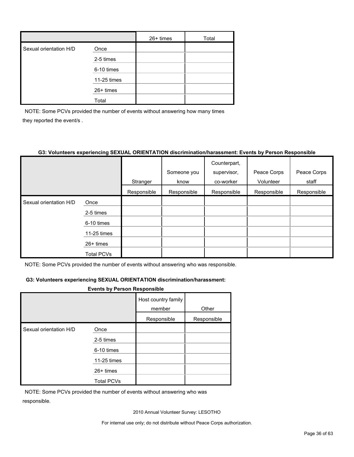|                        |             | $26+$ times | Total |
|------------------------|-------------|-------------|-------|
| Sexual orientation H/D | Once        |             |       |
|                        | 2-5 times   |             |       |
|                        | 6-10 times  |             |       |
|                        | 11-25 times |             |       |
|                        | 26+ times   |             |       |
|                        | Total       |             |       |

NOTE: Some PCVs provided the number of events without answering how many times they reported the event/s .

# **G3: Volunteers experiencing SEXUAL ORIENTATION discrimination/harassment: Events by Person Responsible**

|                        |                   |             |             | Counterpart, |             |             |
|------------------------|-------------------|-------------|-------------|--------------|-------------|-------------|
|                        |                   |             | Someone you | supervisor,  | Peace Corps | Peace Corps |
|                        |                   | Stranger    | know        | co-worker    | Volunteer   | staff       |
|                        |                   | Responsible | Responsible | Responsible  | Responsible | Responsible |
| Sexual orientation H/D | Once              |             |             |              |             |             |
|                        | 2-5 times         |             |             |              |             |             |
|                        | 6-10 times        |             |             |              |             |             |
|                        | 11-25 times       |             |             |              |             |             |
|                        | $26+$ times       |             |             |              |             |             |
|                        | <b>Total PCVs</b> |             |             |              |             |             |

NOTE: Some PCVs provided the number of events without answering who was responsible.

# **G3: Volunteers experiencing SEXUAL ORIENTATION discrimination/harassment:**

#### **Events by Person Responsible**

|                        |                   | Host country family<br>member | Other       |
|------------------------|-------------------|-------------------------------|-------------|
|                        |                   | Responsible                   | Responsible |
| Sexual orientation H/D | Once              |                               |             |
|                        | 2-5 times         |                               |             |
|                        | 6-10 times        |                               |             |
|                        | 11-25 times       |                               |             |
|                        | $26+$ times       |                               |             |
|                        | <b>Total PCVs</b> |                               |             |

NOTE: Some PCVs provided the number of events without answering who was responsible.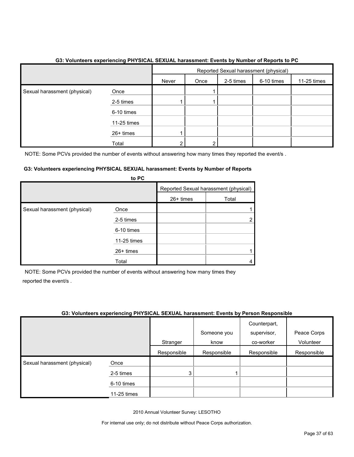|                              |             | Reported Sexual harassment (physical) |      |           |            |             |
|------------------------------|-------------|---------------------------------------|------|-----------|------------|-------------|
|                              |             | Never                                 | Once | 2-5 times | 6-10 times | 11-25 times |
| Sexual harassment (physical) | Once        |                                       |      |           |            |             |
|                              | 2-5 times   |                                       |      |           |            |             |
|                              | 6-10 times  |                                       |      |           |            |             |
|                              | 11-25 times |                                       |      |           |            |             |
|                              | 26+ times   |                                       |      |           |            |             |
|                              | Total       | ◠                                     | ົ    |           |            |             |

# **G3: Volunteers experiencing PHYSICAL SEXUAL harassment: Events by Number of Reports to PC**

NOTE: Some PCVs provided the number of events without answering how many times they reported the event/s.

#### **G3: Volunteers experiencing PHYSICAL SEXUAL harassment: Events by Number of Reports to PC**

|                              | <b>U</b> rv |                                       |       |
|------------------------------|-------------|---------------------------------------|-------|
|                              |             | Reported Sexual harassment (physical) |       |
|                              |             | 26+ times                             | Total |
| Sexual harassment (physical) | Once        |                                       |       |
|                              | 2-5 times   |                                       |       |
|                              | 6-10 times  |                                       |       |
|                              | 11-25 times |                                       |       |
|                              | 26+ times   |                                       |       |
|                              | Total       |                                       |       |

NOTE: Some PCVs provided the number of events without answering how many times they reported the event/s .

# **G3: Volunteers experiencing PHYSICAL SEXUAL harassment: Events by Person Responsible**

|                              |             |             | Someone you | Counterpart,<br>supervisor, | Peace Corps |
|------------------------------|-------------|-------------|-------------|-----------------------------|-------------|
|                              |             | Stranger    | know        | co-worker                   | Volunteer   |
|                              |             | Responsible | Responsible | Responsible                 | Responsible |
| Sexual harassment (physical) | Once        |             |             |                             |             |
|                              | 2-5 times   | 3           |             |                             |             |
|                              | 6-10 times  |             |             |                             |             |
|                              | 11-25 times |             |             |                             |             |

2010 Annual Volunteer Survey: LESOTHO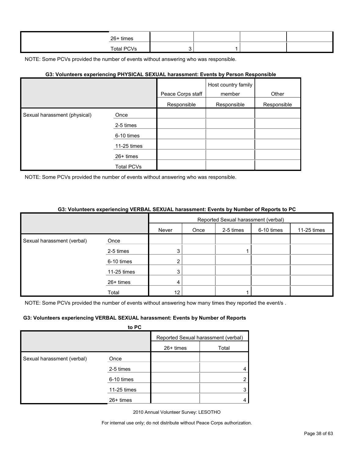| 26+ times  |  |  |
|------------|--|--|
| Total PCVs |  |  |

#### **G3: Volunteers experiencing PHYSICAL SEXUAL harassment: Events by Person Responsible**

|                              |                   |                   | Host country family |             |
|------------------------------|-------------------|-------------------|---------------------|-------------|
|                              |                   | Peace Corps staff | member              | Other       |
|                              |                   | Responsible       | Responsible         | Responsible |
| Sexual harassment (physical) | Once              |                   |                     |             |
|                              | 2-5 times         |                   |                     |             |
|                              | 6-10 times        |                   |                     |             |
|                              | 11-25 times       |                   |                     |             |
|                              | 26+ times         |                   |                     |             |
|                              | <b>Total PCVs</b> |                   |                     |             |

NOTE: Some PCVs provided the number of events without answering who was responsible.

#### **G3: Volunteers experiencing VERBAL SEXUAL harassment: Events by Number of Reports to PC**

|                            |                         | Reported Sexual harassment (verbal) |      |           |            |             |  |
|----------------------------|-------------------------|-------------------------------------|------|-----------|------------|-------------|--|
|                            |                         | Never                               | Once | 2-5 times | 6-10 times | 11-25 times |  |
| Sexual harassment (verbal) | Once                    |                                     |      |           |            |             |  |
|                            | 2-5 times<br>6-10 times |                                     |      |           |            |             |  |
|                            |                         |                                     |      |           |            |             |  |
|                            | 11-25 times             | 3                                   |      |           |            |             |  |
|                            | 26+ times               | 4                                   |      |           |            |             |  |
|                            | Total                   | 12                                  |      |           |            |             |  |

NOTE: Some PCVs provided the number of events without answering how many times they reported the event/s.

#### **G3: Volunteers experiencing VERBAL SEXUAL harassment: Events by Number of Reports**

|                            | to PC       |             |                                     |
|----------------------------|-------------|-------------|-------------------------------------|
|                            |             |             | Reported Sexual harassment (verbal) |
|                            |             | $26+$ times | Total                               |
| Sexual harassment (verbal) | Once        |             |                                     |
|                            | 2-5 times   |             |                                     |
|                            | 6-10 times  |             | 2                                   |
|                            | 11-25 times |             | 3                                   |
|                            | $26+$ times |             |                                     |

2010 Annual Volunteer Survey: LESOTHO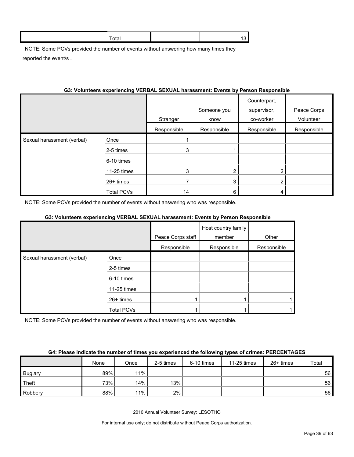NOTE: Some PCVs provided the number of events without answering how many times they reported the event/s .

| G3: Volunteers experiencing VERBAL SEXUAL harassment: Events by Person Responsible |  |
|------------------------------------------------------------------------------------|--|
|                                                                                    |  |

|                            |                   |             | Someone you | Counterpart,<br>supervisor, | Peace Corps |
|----------------------------|-------------------|-------------|-------------|-----------------------------|-------------|
|                            |                   | Stranger    | know        | co-worker                   | Volunteer   |
|                            |                   | Responsible | Responsible | Responsible                 | Responsible |
| Sexual harassment (verbal) | Once              |             |             |                             |             |
|                            | 2-5 times         | 3           |             |                             |             |
|                            | 6-10 times        |             |             |                             |             |
|                            | 11-25 times       | 3           | 2           | 2                           |             |
|                            | 26+ times         |             | 3           | 2                           |             |
|                            | <b>Total PCVs</b> | 14          | 6           | 4                           |             |

NOTE: Some PCVs provided the number of events without answering who was responsible.

# **G3: Volunteers experiencing VERBAL SEXUAL harassment: Events by Person Responsible**

|                            |                   |                   | Host country family |             |
|----------------------------|-------------------|-------------------|---------------------|-------------|
|                            |                   | Peace Corps staff | member              | Other       |
|                            |                   | Responsible       | Responsible         | Responsible |
| Sexual harassment (verbal) | Once              |                   |                     |             |
|                            | 2-5 times         |                   |                     |             |
|                            | 6-10 times        |                   |                     |             |
|                            | 11-25 times       |                   |                     |             |
|                            | 26+ times         |                   |                     |             |
|                            | <b>Total PCVs</b> |                   |                     |             |

NOTE: Some PCVs provided the number of events without answering who was responsible.

|                | None | Once | 2-5 times | 6-10 times | 11-25 times | $26+$ times | Total           |
|----------------|------|------|-----------|------------|-------------|-------------|-----------------|
| <b>Buglary</b> | 89%  | 11%  |           |            |             |             | 56              |
| Theft          | 73%  | 14%  | 13%       |            |             |             | 56              |
| Robbery        | 88%  | 11%  | $2\%$     |            |             |             | 56 <sub>1</sub> |

2010 Annual Volunteer Survey: LESOTHO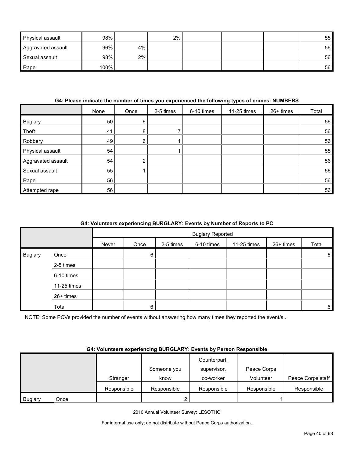| Physical assault   | 98%  |    | 2% |  | 55              |
|--------------------|------|----|----|--|-----------------|
| Aggravated assault | 96%  | 4% |    |  | 56 <sub>1</sub> |
| Sexual assault     | 98%  | 2% |    |  | 56              |
| Rape               | 100% |    |    |  | 56              |

# **G4: Please indicate the number of times you experienced the following types of crimes: NUMBERS**

|                    | None | Once | 2-5 times | 6-10 times | 11-25 times | 26+ times | Total |
|--------------------|------|------|-----------|------------|-------------|-----------|-------|
| <b>Buglary</b>     | 50   | 6    |           |            |             |           | 56    |
| Theft              | 41   | 8    |           |            |             |           | 56    |
| Robbery            | 49   | 6    |           |            |             |           | 56    |
| Physical assault   | 54   |      |           |            |             |           | 55    |
| Aggravated assault | 54   | ົ    |           |            |             |           | 56    |
| Sexual assault     | 55   |      |           |            |             |           | 56    |
| Rape               | 56   |      |           |            |             |           | 56    |
| Attempted rape     | 56   |      |           |            |             |           | 56    |

# **G4: Volunteers experiencing BURGLARY: Events by Number of Reports to PC**

|         |             |       | <b>Buglary Reported</b> |           |            |             |           |                 |  |
|---------|-------------|-------|-------------------------|-----------|------------|-------------|-----------|-----------------|--|
|         |             | Never | Once                    | 2-5 times | 6-10 times | 11-25 times | 26+ times | Total           |  |
| Buglary | Once        |       | 6                       |           |            |             |           | $6\phantom{1}6$ |  |
|         | 2-5 times   |       |                         |           |            |             |           |                 |  |
|         | 6-10 times  |       |                         |           |            |             |           |                 |  |
|         | 11-25 times |       |                         |           |            |             |           |                 |  |
|         | 26+ times   |       |                         |           |            |             |           |                 |  |
|         | Total       |       | 6                       |           |            |             |           | $\,6$           |  |

NOTE: Some PCVs provided the number of events without answering how many times they reported the event/s .

# **G4: Volunteers experiencing BURGLARY: Events by Person Responsible**

|                |      |             | Someone you | Counterpart,<br>supervisor, | Peace Corps |                   |
|----------------|------|-------------|-------------|-----------------------------|-------------|-------------------|
|                |      | Stranger    | know        | co-worker                   | Volunteer   | Peace Corps staff |
|                |      | Responsible | Responsible | Responsible                 | Responsible | Responsible       |
| <b>Buglary</b> | Once |             |             |                             |             |                   |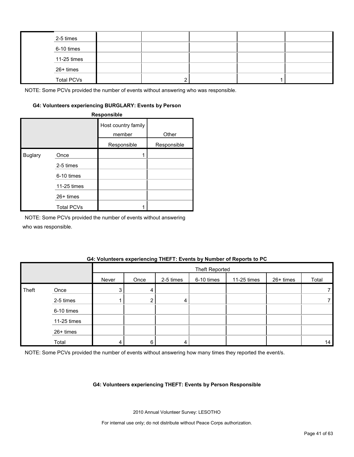| 2-5 times         |  |  |  |
|-------------------|--|--|--|
| 6-10 times        |  |  |  |
| 11-25 times       |  |  |  |
| 26+ times         |  |  |  |
| <b>Total PCVs</b> |  |  |  |

# **G4: Volunteers experiencing BURGLARY: Events by Person**

**Responsible**

|                |                   | Host country family<br>member | Other       |
|----------------|-------------------|-------------------------------|-------------|
|                |                   | Responsible                   | Responsible |
| <b>Buglary</b> | Once              |                               |             |
|                | 2-5 times         |                               |             |
|                | 6-10 times        |                               |             |
|                | 11-25 times       |                               |             |
|                | 26+ times         |                               |             |
|                | <b>Total PCVs</b> |                               |             |

NOTE: Some PCVs provided the number of events without answering

who was responsible.

# **G4: Volunteers experiencing THEFT: Events by Number of Reports to PC**

|       |             |                | <b>Theft Reported</b> |           |            |             |           |       |  |
|-------|-------------|----------------|-----------------------|-----------|------------|-------------|-----------|-------|--|
|       |             | Never          | Once                  | 2-5 times | 6-10 times | 11-25 times | 26+ times | Total |  |
| Theft | Once        | 3 <sup>1</sup> | 4                     |           |            |             |           |       |  |
|       | 2-5 times   |                | ົ                     | 4         |            |             |           |       |  |
|       | 6-10 times  |                |                       |           |            |             |           |       |  |
|       | 11-25 times |                |                       |           |            |             |           |       |  |
|       | 26+ times   |                |                       |           |            |             |           |       |  |
|       | Total       | 4              | 6                     | 4         |            |             |           | 14    |  |

NOTE: Some PCVs provided the number of events without answering how many times they reported the event/s.

#### **G4: Volunteers experiencing THEFT: Events by Person Responsible**

2010 Annual Volunteer Survey: LESOTHO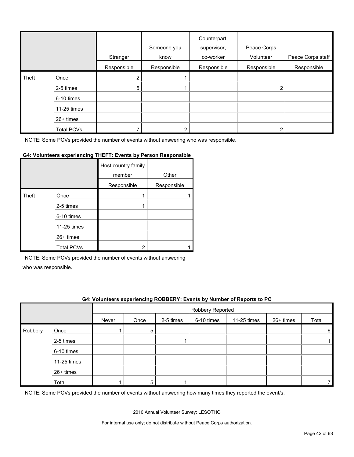|       |                   | Stranger    | Someone you<br>know | Counterpart,<br>supervisor,<br>co-worker | Peace Corps<br>Volunteer | Peace Corps staff |
|-------|-------------------|-------------|---------------------|------------------------------------------|--------------------------|-------------------|
|       |                   | Responsible | Responsible         | Responsible                              | Responsible              | Responsible       |
| Theft | Once              | 2           |                     |                                          |                          |                   |
|       | 2-5 times         | 5           |                     |                                          | 2                        |                   |
|       | 6-10 times        |             |                     |                                          |                          |                   |
|       | 11-25 times       |             |                     |                                          |                          |                   |
|       | 26+ times         |             |                     |                                          |                          |                   |
|       | <b>Total PCVs</b> |             |                     |                                          |                          |                   |

#### **G4: Volunteers experiencing THEFT: Events by Person Responsible**

|       |                   | Host country family<br>member | Other       |
|-------|-------------------|-------------------------------|-------------|
|       |                   | Responsible                   | Responsible |
| Theft | Once              |                               |             |
|       | 2-5 times         |                               |             |
|       | 6-10 times        |                               |             |
|       | 11-25 times       |                               |             |
|       | $26+$ times       |                               |             |
|       | <b>Total PCVs</b> | າ                             |             |

NOTE: Some PCVs provided the number of events without answering

who was responsible.

## **G4: Volunteers experiencing ROBBERY: Events by Number of Reports to PC**

|         |             |       | Robbery Reported |           |            |             |           |       |  |
|---------|-------------|-------|------------------|-----------|------------|-------------|-----------|-------|--|
|         |             | Never | Once             | 2-5 times | 6-10 times | 11-25 times | 26+ times | Total |  |
| Robbery | Once        |       | 5                |           |            |             |           | 6     |  |
|         | 2-5 times   |       |                  |           |            |             |           |       |  |
|         | 6-10 times  |       |                  |           |            |             |           |       |  |
|         | 11-25 times |       |                  |           |            |             |           |       |  |
|         | 26+ times   |       |                  |           |            |             |           |       |  |
|         | Total       |       | 5                |           |            |             |           |       |  |

NOTE: Some PCVs provided the number of events without answering how many times they reported the event/s.

2010 Annual Volunteer Survey: LESOTHO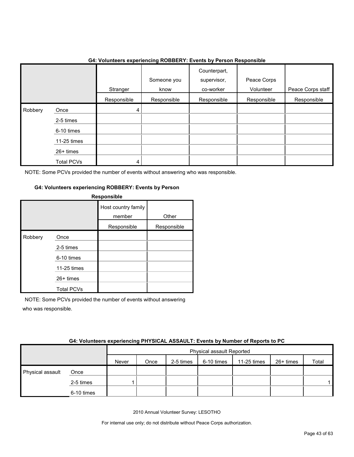|              |                   | .           | ີ                   | . <b>.</b><br>.                          | .                        |                   |
|--------------|-------------------|-------------|---------------------|------------------------------------------|--------------------------|-------------------|
|              |                   | Stranger    | Someone you<br>know | Counterpart,<br>supervisor,<br>co-worker | Peace Corps<br>Volunteer | Peace Corps staff |
|              |                   | Responsible | Responsible         | Responsible                              | Responsible              | Responsible       |
| Robbery<br>I | Once              | 4           |                     |                                          |                          |                   |
|              | 2-5 times         |             |                     |                                          |                          |                   |
|              | 6-10 times        |             |                     |                                          |                          |                   |
|              | 11-25 times       |             |                     |                                          |                          |                   |
|              | 26+ times         |             |                     |                                          |                          |                   |
|              | <b>Total PCVs</b> | 4           |                     |                                          |                          |                   |

# **G4: Volunteers experiencing ROBBERY: Events by Person Responsible**

NOTE: Some PCVs provided the number of events without answering who was responsible.

## **G4: Volunteers experiencing ROBBERY: Events by Person**

| <b>Responsible</b> |                   |                               |             |  |  |  |  |
|--------------------|-------------------|-------------------------------|-------------|--|--|--|--|
|                    |                   | Host country family<br>member | Other       |  |  |  |  |
|                    |                   | Responsible                   | Responsible |  |  |  |  |
| Robbery            | Once              |                               |             |  |  |  |  |
|                    | 2-5 times         |                               |             |  |  |  |  |
|                    | 6-10 times        |                               |             |  |  |  |  |
|                    | 11-25 times       |                               |             |  |  |  |  |
|                    | $26+$ times       |                               |             |  |  |  |  |
|                    | <b>Total PCVs</b> |                               |             |  |  |  |  |

NOTE: Some PCVs provided the number of events without answering who was responsible.

|                  | <b>04. VUILIIGEIS CAPEHENGING FITTOIOAL AJJAULT. LYGHIS DY NUMBEL UI NEPULIS IU F U</b> |       |                                                                      |  |  |  |  |  |  |  |
|------------------|-----------------------------------------------------------------------------------------|-------|----------------------------------------------------------------------|--|--|--|--|--|--|--|
|                  |                                                                                         |       | Physical assault Reported                                            |  |  |  |  |  |  |  |
|                  |                                                                                         | Never | 11-25 times<br>26+ times<br>2-5 times<br>6-10 times<br>Total<br>Once |  |  |  |  |  |  |  |
| Physical assault | Once                                                                                    |       |                                                                      |  |  |  |  |  |  |  |
|                  | 2-5 times                                                                               |       |                                                                      |  |  |  |  |  |  |  |
|                  | 6-10 times                                                                              |       |                                                                      |  |  |  |  |  |  |  |

## **G4: Volunteers experiencing PHYSICAL ASSAULT: Events by Number of Reports to PC**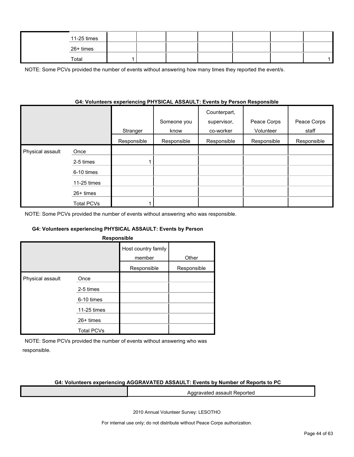| 11-25 times |  |  |  |  |
|-------------|--|--|--|--|
| 26+ times   |  |  |  |  |
| Total       |  |  |  |  |

NOTE: Some PCVs provided the number of events without answering how many times they reported the event/s.

## **G4: Volunteers experiencing PHYSICAL ASSAULT: Events by Person Responsible**

|                  |                   | Stranger    | Someone you<br>know | Counterpart,<br>supervisor,<br>co-worker | Peace Corps<br>Volunteer | Peace Corps<br>staff |
|------------------|-------------------|-------------|---------------------|------------------------------------------|--------------------------|----------------------|
|                  |                   | Responsible | Responsible         | Responsible                              | Responsible              | Responsible          |
| Physical assault | Once              |             |                     |                                          |                          |                      |
|                  | 2-5 times         |             |                     |                                          |                          |                      |
|                  | 6-10 times        |             |                     |                                          |                          |                      |
|                  | 11-25 times       |             |                     |                                          |                          |                      |
|                  | $26+$ times       |             |                     |                                          |                          |                      |
|                  | <b>Total PCVs</b> |             |                     |                                          |                          |                      |

NOTE: Some PCVs provided the number of events without answering who was responsible.

#### **G4: Volunteers experiencing PHYSICAL ASSAULT: Events by Person**

|  | <b>Responsible</b> |
|--|--------------------|
|--|--------------------|

|                  |                   | Host country family<br>member | Other       |
|------------------|-------------------|-------------------------------|-------------|
|                  |                   | Responsible                   | Responsible |
| Physical assault | Once              |                               |             |
|                  | 2-5 times         |                               |             |
|                  | 6-10 times        |                               |             |
|                  | 11-25 times       |                               |             |
|                  | $26+$ times       |                               |             |
|                  | <b>Total PCVs</b> |                               |             |

NOTE: Some PCVs provided the number of events without answering who was responsible.

#### **G4: Volunteers experiencing AGGRAVATED ASSAULT: Events by Number of Reports to PC**

Aggravated assault Reported

2010 Annual Volunteer Survey: LESOTHO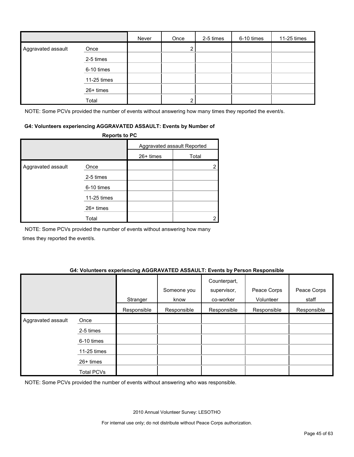|                    |             | Never | Once | 2-5 times | 6-10 times | 11-25 times |
|--------------------|-------------|-------|------|-----------|------------|-------------|
| Aggravated assault | Once        |       |      |           |            |             |
|                    | 2-5 times   |       |      |           |            |             |
|                    | 6-10 times  |       |      |           |            |             |
|                    | 11-25 times |       |      |           |            |             |
|                    | 26+ times   |       |      |           |            |             |
|                    | Total       |       | ົ    |           |            |             |

NOTE: Some PCVs provided the number of events without answering how many times they reported the event/s.

#### **G4: Volunteers experiencing AGGRAVATED ASSAULT: Events by Number of**

|                    | <b>Reports to PC</b> |             |                             |
|--------------------|----------------------|-------------|-----------------------------|
|                    |                      |             | Aggravated assault Reported |
|                    |                      | $26+$ times | Total                       |
| Aggravated assault | Once                 |             |                             |
|                    | 2-5 times            |             |                             |
|                    | 6-10 times           |             |                             |
|                    | 11-25 times          |             |                             |
|                    | $26+$ times          |             |                             |
|                    | Total                |             |                             |

NOTE: Some PCVs provided the number of events without answering how many times they reported the event/s.

#### **G4: Volunteers experiencing AGGRAVATED ASSAULT: Events by Person Responsible**

|                    |                   | Stranger    | Someone you<br>know | Counterpart,<br>supervisor,<br>co-worker | Peace Corps<br>Volunteer | Peace Corps<br>staff |
|--------------------|-------------------|-------------|---------------------|------------------------------------------|--------------------------|----------------------|
|                    |                   | Responsible | Responsible         | Responsible                              | Responsible              | Responsible          |
| Aggravated assault | Once              |             |                     |                                          |                          |                      |
|                    | 2-5 times         |             |                     |                                          |                          |                      |
|                    | 6-10 times        |             |                     |                                          |                          |                      |
|                    | 11-25 times       |             |                     |                                          |                          |                      |
|                    | $26+$ times       |             |                     |                                          |                          |                      |
|                    | <b>Total PCVs</b> |             |                     |                                          |                          |                      |

NOTE: Some PCVs provided the number of events without answering who was responsible.

2010 Annual Volunteer Survey: LESOTHO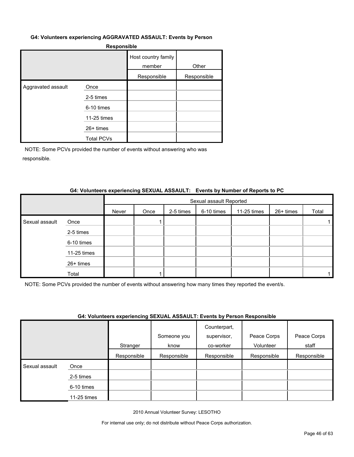#### **G4: Volunteers experiencing AGGRAVATED ASSAULT: Events by Person**

| <b>Responsible</b> |                   |                               |             |  |  |  |  |
|--------------------|-------------------|-------------------------------|-------------|--|--|--|--|
|                    |                   | Host country family<br>member | Other       |  |  |  |  |
|                    |                   | Responsible                   | Responsible |  |  |  |  |
| Aggravated assault | Once              |                               |             |  |  |  |  |
|                    | 2-5 times         |                               |             |  |  |  |  |
|                    | 6-10 times        |                               |             |  |  |  |  |
|                    | 11-25 times       |                               |             |  |  |  |  |
|                    | $26+$ times       |                               |             |  |  |  |  |
|                    | <b>Total PCVs</b> |                               |             |  |  |  |  |

NOTE: Some PCVs provided the number of events without answering who was responsible.

# **G4: Volunteers experiencing SEXUAL ASSAULT: Events by Number of Reports to PC**

|                |             |       | Sexual assault Reported |           |            |             |           |       |  |
|----------------|-------------|-------|-------------------------|-----------|------------|-------------|-----------|-------|--|
|                |             | Never | Once                    | 2-5 times | 6-10 times | 11-25 times | 26+ times | Total |  |
| Sexual assault | Once        |       |                         |           |            |             |           |       |  |
|                | 2-5 times   |       |                         |           |            |             |           |       |  |
|                | 6-10 times  |       |                         |           |            |             |           |       |  |
|                | 11-25 times |       |                         |           |            |             |           |       |  |
|                | 26+ times   |       |                         |           |            |             |           |       |  |
|                | Total       |       |                         |           |            |             |           |       |  |

NOTE: Some PCVs provided the number of events without answering how many times they reported the event/s.

#### **G4: Volunteers experiencing SEXUAL ASSAULT: Events by Person Responsible**

|                |             | .           |             | Counterpart, |             |             |
|----------------|-------------|-------------|-------------|--------------|-------------|-------------|
|                |             |             | Someone you | supervisor,  | Peace Corps | Peace Corps |
|                |             | Stranger    | know        | co-worker    | Volunteer   | staff       |
|                |             | Responsible | Responsible | Responsible  | Responsible | Responsible |
| Sexual assault | Once        |             |             |              |             |             |
|                | 2-5 times   |             |             |              |             |             |
|                | 6-10 times  |             |             |              |             |             |
|                | 11-25 times |             |             |              |             |             |

2010 Annual Volunteer Survey: LESOTHO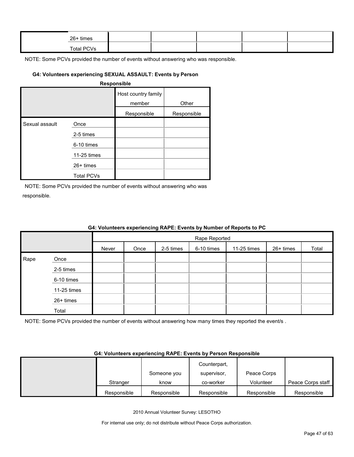| $26+$ times |  |  |  |
|-------------|--|--|--|
| Total PCVs  |  |  |  |

# **G4: Volunteers experiencing SEXUAL ASSAULT: Events by Person**

#### **Responsible**

|                |                   | Host country family<br>member | Other       |
|----------------|-------------------|-------------------------------|-------------|
|                |                   | Responsible                   | Responsible |
| Sexual assault | Once              |                               |             |
|                | 2-5 times         |                               |             |
|                | 6-10 times        |                               |             |
|                | 11-25 times       |                               |             |
|                | $26+$ times       |                               |             |
|                | <b>Total PCVs</b> |                               |             |

NOTE: Some PCVs provided the number of events without answering who was responsible.

|      | G4: Volunteers experiencing RAPE: Events by Number of Reports to PC |       |      |           |               |             |           |       |  |  |  |  |
|------|---------------------------------------------------------------------|-------|------|-----------|---------------|-------------|-----------|-------|--|--|--|--|
|      |                                                                     |       |      |           | Rape Reported |             |           |       |  |  |  |  |
|      |                                                                     | Never | Once | 2-5 times | 6-10 times    | 11-25 times | 26+ times | Total |  |  |  |  |
| Rape | Once                                                                |       |      |           |               |             |           |       |  |  |  |  |
|      | 2-5 times                                                           |       |      |           |               |             |           |       |  |  |  |  |
|      | 6-10 times                                                          |       |      |           |               |             |           |       |  |  |  |  |
|      | $11-25$ times                                                       |       |      |           |               |             |           |       |  |  |  |  |
|      | 26+ times                                                           |       |      |           |               |             |           |       |  |  |  |  |
|      | Total                                                               |       |      |           |               |             |           |       |  |  |  |  |

NOTE: Some PCVs provided the number of events without answering how many times they reported the event/s .

#### **G4: Volunteers experiencing RAPE: Events by Person Responsible**

|             |             | Counterpart, |             |                   |
|-------------|-------------|--------------|-------------|-------------------|
|             | Someone you | supervisor.  | Peace Corps |                   |
| Stranger    | know        | co-worker    | Volunteer   | Peace Corps staff |
| Responsible | Responsible | Responsible  | Responsible | Responsible       |

2010 Annual Volunteer Survey: LESOTHO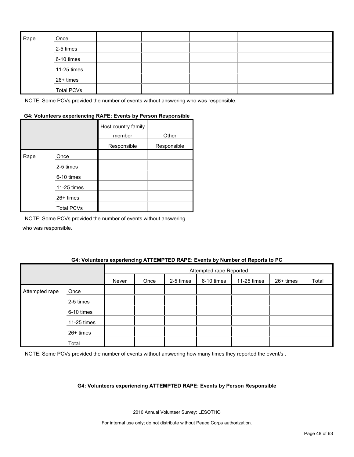| Rape | Once              |  |  |  |
|------|-------------------|--|--|--|
|      | 2-5 times         |  |  |  |
|      | 6-10 times        |  |  |  |
|      | 11-25 times       |  |  |  |
|      | 26+ times         |  |  |  |
|      | <b>Total PCVs</b> |  |  |  |

# **G4: Volunteers experiencing RAPE: Events by Person Responsible**

|      |                   | Host country family<br>member | Other       |
|------|-------------------|-------------------------------|-------------|
|      |                   | Responsible                   | Responsible |
| Rape | Once              |                               |             |
|      | 2-5 times         |                               |             |
|      | 6-10 times        |                               |             |
|      | 11-25 times       |                               |             |
|      | 26+ times         |                               |             |
|      | <b>Total PCVs</b> |                               |             |

NOTE: Some PCVs provided the number of events without answering who was responsible.

#### **G4: Volunteers experiencing ATTEMPTED RAPE: Events by Number of Reports to PC**

|                |             |       | Attempted rape Reported |           |            |             |           |       |  |
|----------------|-------------|-------|-------------------------|-----------|------------|-------------|-----------|-------|--|
|                |             | Never | Once                    | 2-5 times | 6-10 times | 11-25 times | 26+ times | Total |  |
| Attempted rape | Once        |       |                         |           |            |             |           |       |  |
|                | 2-5 times   |       |                         |           |            |             |           |       |  |
|                | 6-10 times  |       |                         |           |            |             |           |       |  |
|                | 11-25 times |       |                         |           |            |             |           |       |  |
|                | 26+ times   |       |                         |           |            |             |           |       |  |
|                | Total       |       |                         |           |            |             |           |       |  |

NOTE: Some PCVs provided the number of events without answering how many times they reported the event/s .

#### **G4: Volunteers experiencing ATTEMPTED RAPE: Events by Person Responsible**

2010 Annual Volunteer Survey: LESOTHO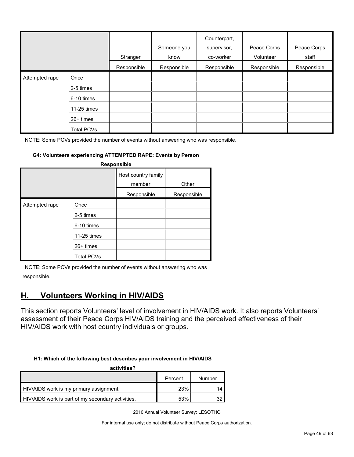|                |                   | Stranger    | Someone you<br>know | Counterpart,<br>supervisor,<br>co-worker | Peace Corps<br>Volunteer | Peace Corps<br>staff |
|----------------|-------------------|-------------|---------------------|------------------------------------------|--------------------------|----------------------|
|                |                   | Responsible | Responsible         | Responsible                              | Responsible              | Responsible          |
| Attempted rape | Once              |             |                     |                                          |                          |                      |
|                | 2-5 times         |             |                     |                                          |                          |                      |
|                | 6-10 times        |             |                     |                                          |                          |                      |
|                | 11-25 times       |             |                     |                                          |                          |                      |
|                | $26+$ times       |             |                     |                                          |                          |                      |
|                | <b>Total PCVs</b> |             |                     |                                          |                          |                      |

#### **G4: Volunteers experiencing ATTEMPTED RAPE: Events by Person**

| Responsible    |                                                               |                               |             |  |  |  |  |  |
|----------------|---------------------------------------------------------------|-------------------------------|-------------|--|--|--|--|--|
|                |                                                               | Host country family<br>member | Other       |  |  |  |  |  |
|                |                                                               | Responsible                   | Responsible |  |  |  |  |  |
| Attempted rape | Once<br>2-5 times<br>6-10 times<br>11-25 times<br>$26+$ times |                               |             |  |  |  |  |  |
|                | <b>Total PCVs</b>                                             |                               |             |  |  |  |  |  |

NOTE: Some PCVs provided the number of events without answering who was responsible.

# <span id="page-48-0"></span>**H. Volunteers Working in HIV/AIDS**

This section reports Volunteers' level of involvement in HIV/AIDS work. It also reports Volunteers' assessment of their Peace Corps HIV/AIDS training and the perceived effectiveness of their HIV/AIDS work with host country individuals or groups.

#### **H1: Which of the following best describes your involvement in HIV/AIDS**

| activities?                                       |         |        |  |  |  |  |  |  |
|---------------------------------------------------|---------|--------|--|--|--|--|--|--|
|                                                   | Percent | Number |  |  |  |  |  |  |
| HIV/AIDS work is my primary assignment.           | 23%     |        |  |  |  |  |  |  |
| HIV/AIDS work is part of my secondary activities. | 53%     |        |  |  |  |  |  |  |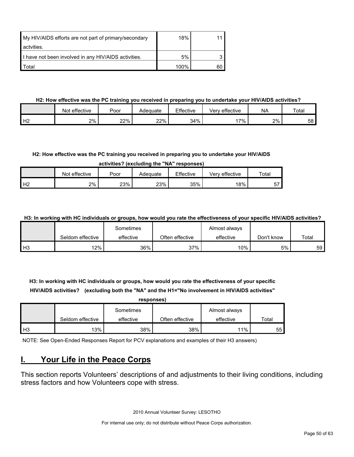| My HIV/AIDS efforts are not part of primary/secondary | 18%  |    |
|-------------------------------------------------------|------|----|
| actvities.                                            |      |    |
| I have not been involved in any HIV/AIDS activities.  | 5%   |    |
| Total                                                 | 100% | 60 |

# **H2: How effective was the PC training you received in preparing you to undertake your HIV/AIDS activities?**

|                | Not effective | Poor | Adeɑuate | Effective | effective<br>Verv | <b>NA</b> | Total |
|----------------|---------------|------|----------|-----------|-------------------|-----------|-------|
| H <sub>2</sub> | 2%            | 22%  | 22%      | 34%       | $7\%$             | 2%        | 58    |

# **H2: How effective was the PC training you received in preparing you to undertake your HIV/AIDS**

**activities? (excluding the "NA" responses)**

|                | effective<br>Not | Poor | Adequate | Effective | effective<br>Verv | Totar   |
|----------------|------------------|------|----------|-----------|-------------------|---------|
| H <sub>2</sub> | 2%               | 23%  | 23%      | 35%       | 18%               | --<br>ີ |

**H3: In working with HC individuals or groups, how would you rate the effectiveness of your specific HIV/AIDS activities?** 

|                |                  | Sometimes |                 | Almost always |            |       |
|----------------|------------------|-----------|-----------------|---------------|------------|-------|
|                | Seldom effective | effective | Often effective | effective     | Don't know | Total |
| H <sub>3</sub> | 12%              | 36%       | 37%             | 10%           | 5%         | 59    |

**H3: In working with HC individuals or groups, how would you rate the effectiveness of your specific HIV/AIDS activities? (excluding both the "NA" and the H1="No involvement in HIV/AIDS activities"** 

|                | responses)       |           |                 |               |       |  |  |  |  |  |
|----------------|------------------|-----------|-----------------|---------------|-------|--|--|--|--|--|
|                |                  | Sometimes |                 | Almost always |       |  |  |  |  |  |
|                | Seldom effective | effective | Often effective | effective     | Total |  |  |  |  |  |
| H <sub>3</sub> | 13%              | 38%       | 38%             | 11%           | 55    |  |  |  |  |  |

NOTE: See Open-Ended Responses Report for PCV explanations and examples of their H3 answers)

# <span id="page-49-0"></span>**I. Your Life in the Peace Corps**

This section reports Volunteers' descriptions of and adjustments to their living conditions, including stress factors and how Volunteers cope with stress.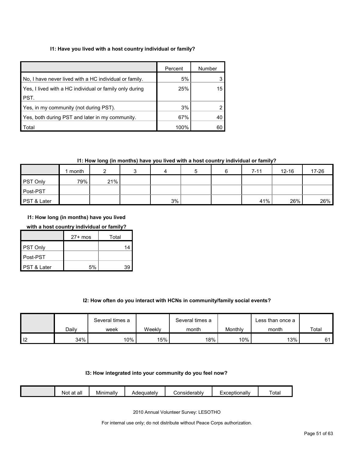# **I1: Have you lived with a host country individual or family?**

|                                                         | Percent | Number |
|---------------------------------------------------------|---------|--------|
| No, I have never lived with a HC individual or family.  | 5%      |        |
| Yes, I lived with a HC individual or family only during | 25%     | 15     |
| PST.                                                    |         |        |
| Yes, in my community (not during PST).                  | 3%      |        |
| Yes, both during PST and later in my community.         | 67%     | 40     |
| Total                                                   | 100%    | 60     |

# **I1: How long (in months) have you lived with a host country individual or family?**

|             | month |     | 4  | b | $7 - 11$ | $12 - 16$ | 17-26 |
|-------------|-------|-----|----|---|----------|-----------|-------|
| PST Only    | 79%   | 21% |    |   |          |           |       |
| Post-PST    |       |     |    |   |          |           |       |
| PST & Later |       |     | 3% |   | 41%      | 26%       | 26%   |

**I1: How long (in months) have you lived** 

# **with a host country individual or family?**

|             | $27+$ mos | Total |
|-------------|-----------|-------|
| PST Only    |           | 14    |
| Post-PST    |           |       |
| PST & Later | 5%        | 39    |

# **I2: How often do you interact with HCNs in community/family social events?**

|       | Several times a |        | Several times a |         | Less than once a |          |
|-------|-----------------|--------|-----------------|---------|------------------|----------|
| Dailv | week            | Weekly | month           | Monthly | month            | Total    |
| 34%   | 10%             | 15%    | 18%             | 10%     | 13%              | $\sim$ 1 |

#### **I3: How integrated into your community do you feel now?**

|  |  | all<br>оt<br>NOI<br>dl | . .<br>Minimally | ouatelv^ | <i>C</i> onsiderabl∨ | xceptionally | ' ota |
|--|--|------------------------|------------------|----------|----------------------|--------------|-------|
|--|--|------------------------|------------------|----------|----------------------|--------------|-------|

2010 Annual Volunteer Survey: LESOTHO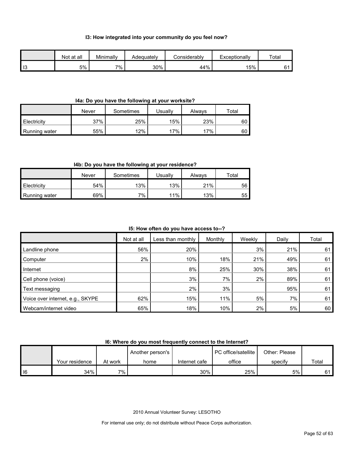#### **I3: How integrated into your community do you feel now?**

|                | Not at all | Minimally | Adeauatelv | Considerablv | Exceptionally | Total |
|----------------|------------|-----------|------------|--------------|---------------|-------|
| $\blacksquare$ | 5%         | 7%        | 30%        | 44%          | 15%           |       |

#### **I4a: Do you have the following at your worksite?**

|               | Never | Sometimes | Jsuallv | Alwavs | $\tau$ otal |
|---------------|-------|-----------|---------|--------|-------------|
| Electricity   | 37%   | 25%       | 15%     | 23%    | 60          |
| Running water | 55%   | 12%       | 17%     | 17%    | 60          |

# **I4b: Do you have the following at your residence?**

|               | Never | Sometimes | Usuallv | Always | $\tau$ otal |
|---------------|-------|-----------|---------|--------|-------------|
| Electricity   | 54%   | 13%       | 13%     | 21%    | 56          |
| Running water | 69%   | $7\%$     | 11%     | 13%    | 55          |

## **I5: How often do you have access to--?**

|                                  | Not at all | Less than monthly | Monthly | Weekly | Daily | Total |
|----------------------------------|------------|-------------------|---------|--------|-------|-------|
| Landline phone                   | 56%        | 20%               |         | 3%     | 21%   | 61    |
| Computer                         | 2%         | 10%               | 18%     | 21%    | 49%   | 61    |
| Internet                         |            | 8%                | 25%     | 30%    | 38%   | 61    |
| Cell phone (voice)               |            | 3%                | $7\%$   | 2%     | 89%   | 61    |
| Text messaging                   |            | 2%                | 3%      |        | 95%   | 61    |
| Voice over internet, e.g., SKYPE | 62%        | 15%               | 11%     | 5%     | $7\%$ | 61    |
| Webcam/internet video            | 65%        | 18%               | 10%     | 2%     | 5%    | 60    |

# **I6: Where do you most frequently connect to the Internet?**

|        |                |         | Another person's |               | PC office/satellite | Other: Please |       |
|--------|----------------|---------|------------------|---------------|---------------------|---------------|-------|
|        | Your residence | At work | home             | Internet cafe | office              | specify       | Total |
| $ $ 16 | 34%            | ᅍ.      |                  | 30%           | 25%                 | 5%            | 61    |

2010 Annual Volunteer Survey: LESOTHO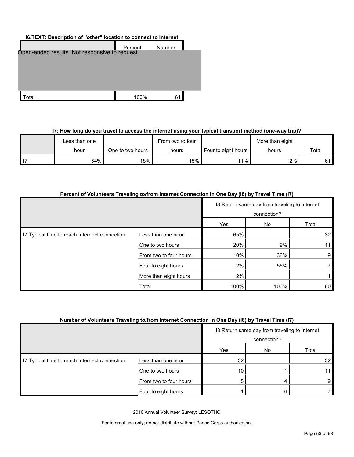# **I6.TEXT: Description of "other" location to connect to Internet**

|                                                | Percent | Number |  |
|------------------------------------------------|---------|--------|--|
| Open-ended results. Not responsive to request. |         |        |  |
|                                                |         |        |  |
|                                                |         |        |  |
|                                                |         |        |  |
| ʻotal                                          | 100%    | 61     |  |

# **I7: How long do you travel to access the internet using your typical transport method (one-way trip)?**

|      | ∟ess than one |                  | From two to four |                       | More than eight |       |
|------|---------------|------------------|------------------|-----------------------|-----------------|-------|
|      | hour          | One to two hours | hours            | Four to eight hours I | hours           | Total |
| l 17 | 54%           | 18%              | 15%              | $11\%$                | 2%              | C 1   |

|  | Percent of Volunteers Traveling to/from Internet Connection in One Day (18) by Travel Time (17) |
|--|-------------------------------------------------------------------------------------------------|
|  |                                                                                                 |

|                                               |                        | 18 Return same day from traveling to Internet<br>connection? |             |                 |  |
|-----------------------------------------------|------------------------|--------------------------------------------------------------|-------------|-----------------|--|
|                                               |                        | Yes                                                          | No<br>Total |                 |  |
| 17 Typical time to reach Internect connection | Less than one hour     | 65%                                                          |             | 32              |  |
|                                               | One to two hours       | 20%                                                          | 9%          | 11 <sub>1</sub> |  |
|                                               | From two to four hours | 10%                                                          | 36%         | 9               |  |
|                                               | Four to eight hours    | 2%                                                           | 55%         |                 |  |
|                                               | More than eight hours  | 2%                                                           |             |                 |  |
|                                               | Total                  | 100%                                                         | 100%        | 60              |  |

# **Number of Volunteers Traveling to/from Internet Connection in One Day (I8) by Travel Time (I7)**

|                                               |                        | 18 Return same day from traveling to Internet<br>connection? |     |                 |
|-----------------------------------------------|------------------------|--------------------------------------------------------------|-----|-----------------|
|                                               |                        | Yes                                                          | No. | Total           |
| 17 Typical time to reach Internect connection | Less than one hour     | 32                                                           |     | 32 <sub>1</sub> |
|                                               | One to two hours       | 10                                                           |     | 11              |
|                                               | From two to four hours | 5                                                            |     | 9               |
|                                               | Four to eight hours    |                                                              |     |                 |

2010 Annual Volunteer Survey: LESOTHO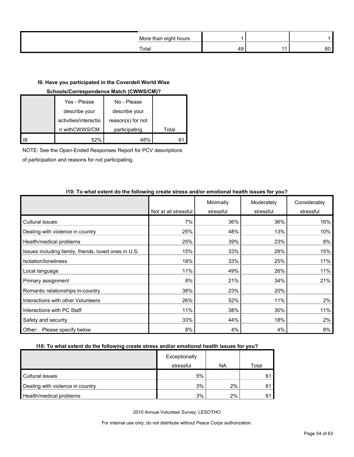| More than eight hours<br>ີ |    |    |
|----------------------------|----|----|
| Total                      | 49 | 60 |

# **I9: Have you participated in the Coverdell World Wise**

# **Schools/Correspondence Match (CWWS/CM)?**

|    | Yes - Please          | No - Please       |       |
|----|-----------------------|-------------------|-------|
|    | describe your         | describe your     |       |
|    | activities/interactio | reason(s) for not |       |
|    | n withCWWS/CM         | participating     | Total |
| 19 | 52%                   | 48%               |       |

NOTE: See the Open-Ended Responses Report for PCV descriptions

of participation and reasons for not participating.

| TIV. TO MINIC CALCHIC QU'INC TUNUMING UTUGU SHUSS ANGUL UNIUHUNG NUANN ISSAUS TUL JUAT |                      |           |            |              |
|----------------------------------------------------------------------------------------|----------------------|-----------|------------|--------------|
|                                                                                        |                      | Minimally | Moderately | Considerably |
|                                                                                        | Not at all stressful | stressful | stressful  | stressful    |
| Cultural issues                                                                        | 7%                   | 36%       | 36%        | 16%          |
| Dealing with violence in country                                                       | 25%                  | 48%       | 13%        | 10%          |
| Health/medical problems                                                                | 25%                  | 39%       | 23%        | 8%           |
| Issues including family, friends, loved ones in U.S.                                   | 15%                  | 33%       | 28%        | 15%          |
| Isolation/Ioneliness                                                                   | 18%                  | 33%       | 25%        | 11%          |
| Local language                                                                         | 11%                  | 49%       | 26%        | 11%          |
| Primary assignment                                                                     | 8%                   | 21%       | 34%        | 21%          |
| Romantic relationships in-country                                                      | 38%                  | 23%       | 20%        |              |
| Interactions with other Volunteers                                                     | 26%                  | 52%       | 11%        | 2%           |
| Interactions with PC Staff                                                             | 11%                  | 38%       | 30%        | 11%          |
| Safety and security                                                                    | 33%                  | 44%       | 18%        | 2%           |
| Other: Please specify below                                                            | 8%                   | 4%        | 4%         | 8%           |

# **I10: To what extent do the following create stress and/or emotional health issues for you?**

## **I10: To what extent do the following create stress and/or emotional health issues for you?**

|                                  | Exceptionally<br>stressful | <b>NA</b> | Total |
|----------------------------------|----------------------------|-----------|-------|
| Cultural issues                  | 5%                         |           |       |
| Dealing with violence in country | 3%                         | 2%        |       |
| Health/medical problems          | 3%                         | 2%        |       |

2010 Annual Volunteer Survey: LESOTHO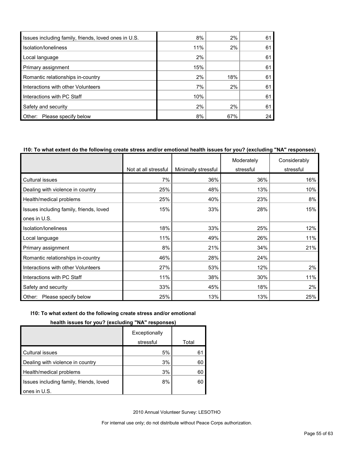| Issues including family, friends, loved ones in U.S. | 8%  | 2%  | 61 |
|------------------------------------------------------|-----|-----|----|
| Isolation/Ioneliness                                 | 11% | 2%  | 61 |
| Local language                                       | 2%  |     | 61 |
| Primary assignment                                   | 15% |     | 61 |
| Romantic relationships in-country                    | 2%  | 18% | 61 |
| Interactions with other Volunteers                   | 7%  | 2%  | 61 |
| Interactions with PC Staff                           | 10% |     | 61 |
| Safety and security                                  | 2%  | 2%  | 61 |
| Please specify below<br>Other:                       | 8%  | 67% | 24 |

#### **I10: To what extent do the following create stress and/or emotional health issues for you? (excluding "NA" responses)**

|                                         |                      |                     | Moderately | Considerably |
|-----------------------------------------|----------------------|---------------------|------------|--------------|
|                                         | Not at all stressful | Minimally stressful | stressful  | stressful    |
| Cultural issues                         | 7%                   | 36%                 | 36%        | 16%          |
| Dealing with violence in country        | 25%                  | 48%                 | 13%        | 10%          |
| Health/medical problems                 | 25%                  | 40%                 | 23%        | 8%           |
| Issues including family, friends, loved | 15%                  | 33%                 | 28%        | 15%          |
| ones in U.S.                            |                      |                     |            |              |
| Isolation/loneliness                    | 18%                  | 33%                 | 25%        | 12%          |
| Local language                          | 11%                  | 49%                 | 26%        | 11%          |
| Primary assignment                      | 8%                   | 21%                 | 34%        | 21%          |
| Romantic relationships in-country       | 46%                  | 28%                 | 24%        |              |
| Interactions with other Volunteers      | 27%                  | 53%                 | 12%        | 2%           |
| Interactions with PC Staff              | 11%                  | 38%                 | 30%        | 11%          |
| Safety and security                     | 33%                  | 45%                 | 18%        | 2%           |
| Other:<br>Please specify below          | 25%                  | 13%                 | 13%        | 25%          |

# **I10: To what extent do the following create stress and/or emotional**

# **health issues for you? (excluding "NA" responses)**

|                                         | Exceptionally |       |
|-----------------------------------------|---------------|-------|
|                                         | stressful     | Total |
| <b>Cultural issues</b>                  | 5%            | 61    |
| Dealing with violence in country        | 3%            | 60    |
| Health/medical problems                 | 3%            | 60    |
| Issues including family, friends, loved | 8%            | 60    |
| ones in U.S.                            |               |       |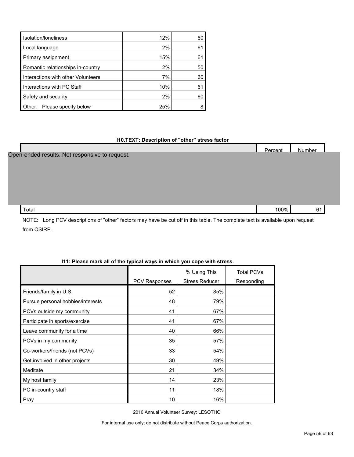| Isolation/Ioneliness               | 12% | 60 |
|------------------------------------|-----|----|
| Local language                     | 2%  | 61 |
| Primary assignment                 | 15% | 61 |
| Romantic relationships in-country  | 2%  | 50 |
| Interactions with other Volunteers | 7%  | 60 |
| Interactions with PC Staff         | 10% | 61 |
| Safety and security                | 2%  | 60 |
| Other: Please specify below        | 25% |    |

## **I10.TEXT: Description of "other" stress factor**

|                                                | Percent | Number |  |
|------------------------------------------------|---------|--------|--|
| Open-ended results. Not responsive to request. |         |        |  |
|                                                |         |        |  |
|                                                |         |        |  |
|                                                |         |        |  |
|                                                |         |        |  |
| Total                                          | 100%    | 61     |  |

NOTE: Long PCV descriptions of "other" factors may have be cut off in this table. The complete text is available upon request from OSIRP.

# **I11: Please mark all of the typical ways in which you cope with stress.**

|                                   |                      | % Using This          | <b>Total PCVs</b> |
|-----------------------------------|----------------------|-----------------------|-------------------|
|                                   | <b>PCV Responses</b> | <b>Stress Reducer</b> | Responding        |
| Friends/family in U.S.            | 52                   | 85%                   |                   |
| Pursue personal hobbies/interests | 48                   | 79%                   |                   |
| PCVs outside my community         | 41                   | 67%                   |                   |
| Participate in sports/exercise    | 41                   | 67%                   |                   |
| Leave community for a time        | 40                   | 66%                   |                   |
| PCVs in my community              | 35                   | 57%                   |                   |
| Co-workers/friends (not PCVs)     | 33                   | 54%                   |                   |
| Get involved in other projects    | 30                   | 49%                   |                   |
| Meditate                          | 21                   | 34%                   |                   |
| My host family                    | 14                   | 23%                   |                   |
| PC in-country staff               | 11                   | 18%                   |                   |
| Pray                              | 10                   | 16%                   |                   |

2010 Annual Volunteer Survey: LESOTHO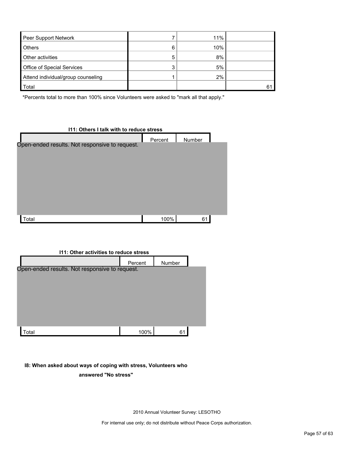| Peer Support Network               |         | 11% |    |
|------------------------------------|---------|-----|----|
| <b>Others</b>                      | 6       | 10% |    |
| Other activities                   | 5       | 8%  |    |
| <b>Office of Special Services</b>  | ົ<br>٠. | 5%  |    |
| Attend individual/group counseling |         | 2%  |    |
| Total                              |         |     | 61 |

\*Percents total to more than 100% since Volunteers were asked to "mark all that apply."

# **I11: Others I talk with to reduce stress** Percent Number Total 100% 61 Open-ended results. Not responsive to request.

# **I11: Other activities to reduce stress**

|                                                | Percent | Number |  |
|------------------------------------------------|---------|--------|--|
| Open-ended results. Not responsive to request. |         |        |  |
|                                                |         |        |  |
|                                                |         |        |  |
|                                                |         |        |  |
| Total                                          | 100%    | 61     |  |

# **I8: When asked about ways of coping with stress, Volunteers who answered "No stress"**

2010 Annual Volunteer Survey: LESOTHO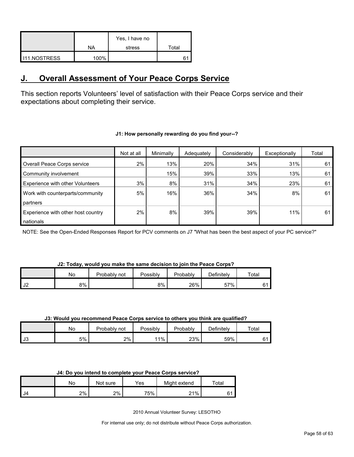|                       | NA   | Yes, I have no<br>stress | Total |
|-----------------------|------|--------------------------|-------|
| <b>I</b> I11.NOSTRESS | 100% |                          |       |

# <span id="page-57-0"></span>**J. Overall Assessment of Your Peace Corps Service**

This section reports Volunteers' level of satisfaction with their Peace Corps service and their expectations about completing their service.

|                                         | Not at all | Minimally | Adequately | Considerably | Exceptionally | Total |
|-----------------------------------------|------------|-----------|------------|--------------|---------------|-------|
| Overall Peace Corps service             | 2%         | 13%       | 20%        | 34%          | 31%           | 61    |
| Community involvement                   |            | 15%       | 39%        | 33%          | 13%           | 61    |
| <b>Experience with other Volunteers</b> | 3%         | 8%        | 31%        | 34%          | 23%           | 61    |
| Work with counterparts/community        | 5%         | 16%       | 36%        | 34%          | 8%            | 61    |
| partners                                |            |           |            |              |               |       |
| Experience with other host country      | 2%         | 8%        | 39%        | 39%          | 11%           | 61    |
| nationals                               |            |           |            |              |               |       |

# **J1: How personally rewarding do you find your--?**

NOTE: See the Open-Ended Responses Report for PCV comments on J7 "What has been the best aspect of your PC service?"

## **J2: Today, would you make the same decision to join the Peace Corps?**

|                        | No | Probably not | Possibly | Probably | <b>Definitelv</b>     | Total |
|------------------------|----|--------------|----------|----------|-----------------------|-------|
| $\overline{10}$<br>∣J∠ | 8% |              | 8%       | 26%      | 57%<br>$\mathcal{D}I$ | 61    |

#### **J3: Would you recommend Peace Corps service to others you think are qualified?**

|                         | No | Probably<br>not | Possibly | Probably | ⊃efinitelv | $\tau$ otal |
|-------------------------|----|-----------------|----------|----------|------------|-------------|
| $\overline{10}$<br>∎ J3 | 5% | 2%              | $1\%$    | 23%      | 59%        |             |

|      | No | Not sure | $\mathsf{v}_{\mathsf{es}}$ | Might extend     | Total   |
|------|----|----------|----------------------------|------------------|---------|
| I J4 | 2% | 2%       | 75%                        | 21%<br>$\sim$ 1. | ۵4<br>ັ |

2010 Annual Volunteer Survey: LESOTHO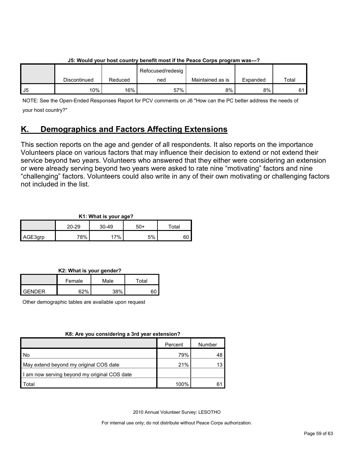|    | <u>oo. Would your host country benent most if the Feace oorps program was---:</u> |         |                   |                  |          |       |  |
|----|-----------------------------------------------------------------------------------|---------|-------------------|------------------|----------|-------|--|
|    |                                                                                   |         | Refocused/redesig |                  |          |       |  |
|    | Discontinued                                                                      | Reduced | ned               | Maintained as is | Expanded | Total |  |
| J5 | $10\%$                                                                            | 16%     | 57%               | 8%               | 8%       |       |  |

# **J5: Would your host country benefit most if the Peace Corps program was---?**

NOTE: See the Open-Ended Responses Report for PCV comments on J6 "How can the PC better address the needs of your host country?"

# <span id="page-58-0"></span>**K. Demographics and Factors Affecting Extensions**

This section reports on the age and gender of all respondents. It also reports on the importance Volunteers place on various factors that may influence their decision to extend or not extend their service beyond two years. Volunteers who answered that they either were considering an extension or were already serving beyond two years were asked to rate nine "motivating" factors and nine "challenging" factors. Volunteers could also write in any of their own motivating or challenging factors not included in the list.

# **K1: What is your age?**

|         | $20 - 29$ | $30 - 49$ | 50+ | $\tau$ otal |
|---------|-----------|-----------|-----|-------------|
| AGE3grp | 78%       | 7%        | 5%  | ου          |

**K2: What is your gender?**

|        | Female | Male | $\tau$ otal |
|--------|--------|------|-------------|
| GENDER | /0،0   | 200/ |             |

Other demographic tables are available upon request

# **K8: Are you considering a 3rd year extension?**

|                                              | Percent | Number |
|----------------------------------------------|---------|--------|
| l No                                         | 79%     |        |
| May extend beyond my original COS date       | 21%     |        |
| I am now serving beyond my original COS date |         |        |
| Total                                        | 100%    |        |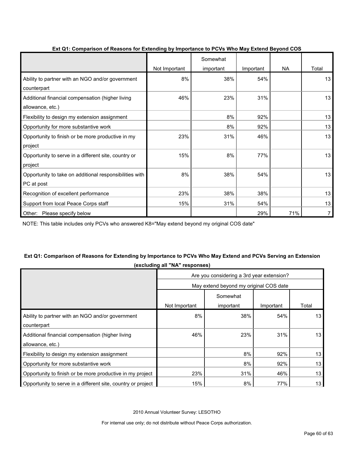|                                                                       | Not Important | Somewhat<br>important | Important | NA  | Total |
|-----------------------------------------------------------------------|---------------|-----------------------|-----------|-----|-------|
| Ability to partner with an NGO and/or government<br>counterpart       | 8%            | 38%                   | 54%       |     | 13    |
| Additional financial compensation (higher living<br>allowance, etc.)  | 46%           | 23%                   | 31%       |     | 13    |
| Flexibility to design my extension assignment                         |               | 8%                    | 92%       |     | 13    |
| Opportunity for more substantive work                                 |               | 8%                    | 92%       |     | 13    |
| Opportunity to finish or be more productive in my<br>project          | 23%           | 31%                   | 46%       |     | 13    |
| Opportunity to serve in a different site, country or<br>project       | 15%           | 8%                    | 77%       |     | 13    |
| Opportunity to take on additional responsibilities with<br>PC at post | 8%            | 38%                   | 54%       |     | 13    |
| Recognition of excellent performance                                  | 23%           | 38%                   | 38%       |     | 13    |
| Support from local Peace Corps staff                                  | 15%           | 31%                   | 54%       |     | 13    |
| Other: Please specify below                                           |               |                       | 29%       | 71% | 7     |

# **Ext Q1: Comparison of Reasons for Extending by Importance to PCVs Who May Extend Beyond COS**

NOTE: This table includes only PCVs who answered K8="May extend beyond my original COS date"

# **Ext Q1: Comparison of Reasons for Extending by Importance to PCVs Who May Extend and PCVs Serving an Extension (excluding all "NA" responses)**

|                                                              | Are you considering a 3rd year extension? |           |           |       |  |
|--------------------------------------------------------------|-------------------------------------------|-----------|-----------|-------|--|
|                                                              | May extend beyond my original COS date    |           |           |       |  |
|                                                              | Somewhat                                  |           |           |       |  |
|                                                              | Not Important                             | important | Important | Total |  |
| Ability to partner with an NGO and/or government             | 8%                                        | 38%       | 54%       | 13    |  |
| counterpart                                                  |                                           |           |           |       |  |
| Additional financial compensation (higher living             | 46%                                       | 23%       | 31%       | 13    |  |
| allowance, etc.)                                             |                                           |           |           |       |  |
| Flexibility to design my extension assignment                |                                           | 8%        | 92%       | 13    |  |
| Opportunity for more substantive work                        |                                           | 8%        | 92%       | 13    |  |
| Opportunity to finish or be more productive in my project    | 23%                                       | 31%       | 46%       | 13    |  |
| Opportunity to serve in a different site, country or project | 15%                                       | 8%        | 77%       | 13    |  |

2010 Annual Volunteer Survey: LESOTHO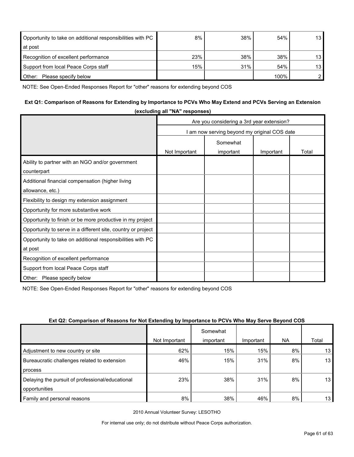| Opportunity to take on additional responsibilities with PC | 8%  | 38% | 54%  | 13 <sub>l</sub> |
|------------------------------------------------------------|-----|-----|------|-----------------|
| at post                                                    |     |     |      |                 |
| Recognition of excellent performance                       | 23% | 38% | 38%  | 13 <sub>h</sub> |
| Support from local Peace Corps staff                       | 15% | 31% | 54%  | 13              |
| Please specify below<br>Other:                             |     |     | 100% |                 |

NOTE: See Open-Ended Responses Report for "other" reasons for extending beyond COS

# **Ext Q1: Comparison of Reasons for Extending by Importance to PCVs Who May Extend and PCVs Serving an Extension**

|                                                              | (excluding all NA responses)              |                                            |           |       |  |
|--------------------------------------------------------------|-------------------------------------------|--------------------------------------------|-----------|-------|--|
|                                                              | Are you considering a 3rd year extension? |                                            |           |       |  |
|                                                              |                                           | am now serving beyond my original COS date |           |       |  |
|                                                              |                                           | Somewhat                                   |           |       |  |
|                                                              | Not Important                             | important                                  | Important | Total |  |
| Ability to partner with an NGO and/or government             |                                           |                                            |           |       |  |
| counterpart                                                  |                                           |                                            |           |       |  |
| Additional financial compensation (higher living             |                                           |                                            |           |       |  |
| allowance, etc.)                                             |                                           |                                            |           |       |  |
| Flexibility to design my extension assignment                |                                           |                                            |           |       |  |
| Opportunity for more substantive work                        |                                           |                                            |           |       |  |
| Opportunity to finish or be more productive in my project    |                                           |                                            |           |       |  |
| Opportunity to serve in a different site, country or project |                                           |                                            |           |       |  |
| Opportunity to take on additional responsibilities with PC   |                                           |                                            |           |       |  |
| at post                                                      |                                           |                                            |           |       |  |
| Recognition of excellent performance                         |                                           |                                            |           |       |  |
| Support from local Peace Corps staff                         |                                           |                                            |           |       |  |
| Other: Please specify below                                  |                                           |                                            |           |       |  |

**(excluding all "NA" responses)**

NOTE: See Open-Ended Responses Report for "other" reasons for extending beyond COS

|                                                  |               | Somewhat  |           |           |       |
|--------------------------------------------------|---------------|-----------|-----------|-----------|-------|
|                                                  | Not Important | important | Important | <b>NA</b> | Total |
| Adjustment to new country or site                | 62%           | 15%       | 15%       | 8%        | 13    |
| Bureaucratic challenges related to extension     | 46%           | 15%       | 31%       | 8%        | 13    |
| process                                          |               |           |           |           |       |
| Delaying the pursuit of professional/educational | 23%           | 38%       | 31%       | 8%        | 13    |
| opportunities                                    |               |           |           |           |       |
| Family and personal reasons                      | 8%            | 38%       | 46%       | 8%        | 13    |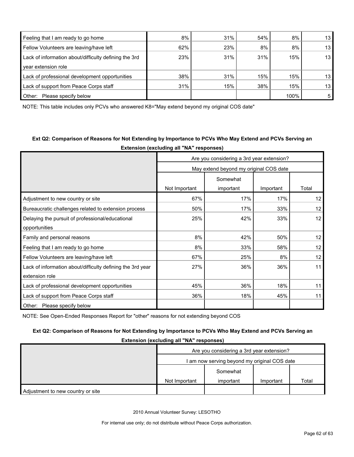| Feeling that I am ready to go home                    | 8%  | 31% | 54% | 8%   | 13              |
|-------------------------------------------------------|-----|-----|-----|------|-----------------|
| Fellow Volunteers are leaving/have left               | 62% | 23% | 8%  | 8%   | 13              |
| Lack of information about/difficulty defining the 3rd | 23% | 31% | 31% | 15%  | 13 <sub>1</sub> |
| vear extension role                                   |     |     |     |      |                 |
| Lack of professional development opportunities        | 38% | 31% | 15% | 15%  | 13              |
| Lack of support from Peace Corps staff                | 31% | 15% | 38% | 15%  | 13              |
| Other:<br>Please specify below                        |     |     |     | 100% | 5               |

NOTE: This table includes only PCVs who answered K8="May extend beyond my original COS date"

# **Ext Q2: Comparison of Reasons for Not Extending by Importance to PCVs Who May Extend and PCVs Serving an**

**Extension (excluding all "NA" responses)** Are you considering a 3rd year extension? May extend beyond my original COS date Not Important Somewhat important | Important | Total Adjustment to new country or site 12 to 12 minutes of the 17% 17% 17% 17% 17% 12 Bureaucratic challenges related to extension process 10 150% 17% 17% 33% 12 Delaying the pursuit of professional/educational opportunities 25% 42% 33% 12 Family and personal reasons and the second second second second second second second second second second second second second second second second second second second second second second second second second second seco Feeling that I am ready to go home  $8\%$  8% 33% 58% 12 Fellow Volunteers are leaving/have left 67% 25% 8% 12 Lack of information about/difficulty defining the 3rd year extension role 27% 36% 36% 11 Lack of professional development opportunities  $\overline{a}$  45%  $\overline{a}$  36% 18% 18% 11 Lack of support from Peace Corps staff 18% 18% 18% 18% 18% 18% 11 Other: Please specify below

NOTE: See Open-Ended Responses Report for "other" reasons for not extending beyond COS

# **Ext Q2: Comparison of Reasons for Not Extending by Importance to PCVs Who May Extend and PCVs Serving an**

**Extension (excluding all "NA" responses)**

|                                   | Are you considering a 3rd year extension?        |  |  |  |  |
|-----------------------------------|--------------------------------------------------|--|--|--|--|
|                                   | am now serving beyond my original COS date       |  |  |  |  |
|                                   | Somewhat                                         |  |  |  |  |
|                                   | Total<br>Not Important<br>important<br>Important |  |  |  |  |
| Adjustment to new country or site |                                                  |  |  |  |  |